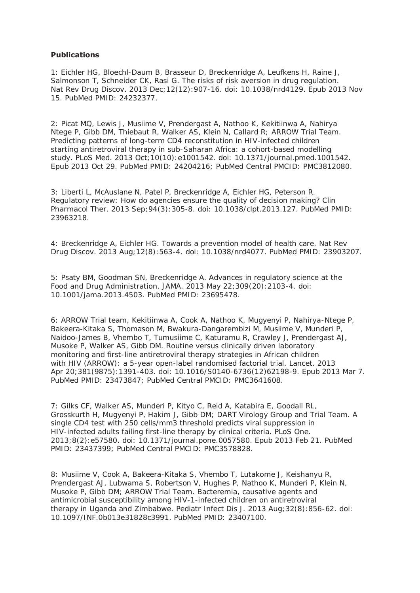## **Publications**

1: Eichler HG, Bloechl-Daum B, Brasseur D, Breckenridge A, Leufkens H, Raine J, Salmonson T, Schneider CK, Rasi G. The risks of risk aversion in drug regulation. Nat Rev Drug Discov. 2013 Dec;12(12):907-16. doi: 10.1038/nrd4129. Epub 2013 Nov 15. PubMed PMID: 24232377.

2: Picat MQ, Lewis J, Musiime V, Prendergast A, Nathoo K, Kekitiinwa A, Nahirya Ntege P, Gibb DM, Thiebaut R, Walker AS, Klein N, Callard R; ARROW Trial Team. Predicting patterns of long-term CD4 reconstitution in HIV-infected children starting antiretroviral therapy in sub-Saharan Africa: a cohort-based modelling study. PLoS Med. 2013 Oct;10(10):e1001542. doi: 10.1371/journal.pmed.1001542. Epub 2013 Oct 29. PubMed PMID: 24204216; PubMed Central PMCID: PMC3812080.

3: Liberti L, McAuslane N, Patel P, Breckenridge A, Eichler HG, Peterson R. Regulatory review: How do agencies ensure the quality of decision making? Clin Pharmacol Ther. 2013 Sep;94(3):305-8. doi: 10.1038/clpt.2013.127. PubMed PMID: 23963218.

4: Breckenridge A, Eichler HG. Towards a prevention model of health care. Nat Rev Drug Discov. 2013 Aug;12(8):563-4. doi: 10.1038/nrd4077. PubMed PMID: 23903207.

5: Psaty BM, Goodman SN, Breckenridge A. Advances in regulatory science at the Food and Drug Administration. JAMA. 2013 May 22;309(20):2103-4. doi: 10.1001/jama.2013.4503. PubMed PMID: 23695478.

6: ARROW Trial team, Kekitiinwa A, Cook A, Nathoo K, Mugyenyi P, Nahirya-Ntege P, Bakeera-Kitaka S, Thomason M, Bwakura-Dangarembizi M, Musiime V, Munderi P, Naidoo-James B, Vhembo T, Tumusiime C, Katuramu R, Crawley J, Prendergast AJ, Musoke P, Walker AS, Gibb DM. Routine versus clinically driven laboratory monitoring and first-line antiretroviral therapy strategies in African children with HIV (ARROW): a 5-year open-label randomised factorial trial. Lancet. 2013 Apr 20;381(9875):1391-403. doi: 10.1016/S0140-6736(12)62198-9. Epub 2013 Mar 7. PubMed PMID: 23473847; PubMed Central PMCID: PMC3641608.

7: Gilks CF, Walker AS, Munderi P, Kityo C, Reid A, Katabira E, Goodall RL, Grosskurth H, Mugyenyi P, Hakim J, Gibb DM; DART Virology Group and Trial Team. A single CD4 test with 250 cells/mm3 threshold predicts viral suppression in HIV-infected adults failing first-line therapy by clinical criteria. PLoS One. 2013;8(2):e57580. doi: 10.1371/journal.pone.0057580. Epub 2013 Feb 21. PubMed PMID: 23437399; PubMed Central PMCID: PMC3578828.

8: Musiime V, Cook A, Bakeera-Kitaka S, Vhembo T, Lutakome J, Keishanyu R, Prendergast AJ, Lubwama S, Robertson V, Hughes P, Nathoo K, Munderi P, Klein N, Musoke P, Gibb DM; ARROW Trial Team. Bacteremia, causative agents and antimicrobial susceptibility among HIV-1-infected children on antiretroviral therapy in Uganda and Zimbabwe. Pediatr Infect Dis J. 2013 Aug;32(8):856-62. doi: 10.1097/INF.0b013e31828c3991. PubMed PMID: 23407100.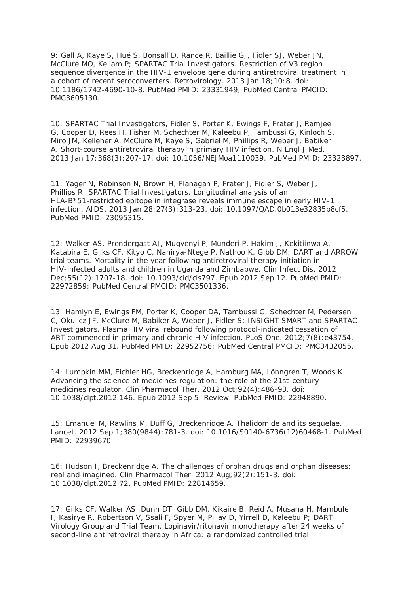9: Gall A, Kaye S, Hué S, Bonsall D, Rance R, Baillie GJ, Fidler SJ, Weber JN, McClure MO, Kellam P; SPARTAC Trial Investigators. Restriction of V3 region sequence divergence in the HIV-1 envelope gene during antiretroviral treatment in a cohort of recent seroconverters. Retrovirology. 2013 Jan 18;10:8. doi: 10.1186/1742-4690-10-8. PubMed PMID: 23331949; PubMed Central PMCID: PMC3605130.

10: SPARTAC Trial Investigators, Fidler S, Porter K, Ewings F, Frater J, Ramjee G, Cooper D, Rees H, Fisher M, Schechter M, Kaleebu P, Tambussi G, Kinloch S, Miro JM, Kelleher A, McClure M, Kaye S, Gabriel M, Phillips R, Weber J, Babiker A. Short-course antiretroviral therapy in primary HIV infection. N Engl J Med. 2013 Jan 17;368(3):207-17. doi: 10.1056/NEJMoa1110039. PubMed PMID: 23323897.

11: Yager N, Robinson N, Brown H, Flanagan P, Frater J, Fidler S, Weber J, Phillips R; SPARTAC Trial Investigators. Longitudinal analysis of an HLA-B\*51-restricted epitope in integrase reveals immune escape in early HIV-1 infection. AIDS. 2013 Jan 28;27(3):313-23. doi: 10.1097/QAD.0b013e32835b8cf5. PubMed PMID: 23095315.

12: Walker AS, Prendergast AJ, Mugyenyi P, Munderi P, Hakim J, Kekitiinwa A, Katabira E, Gilks CF, Kityo C, Nahirya-Ntege P, Nathoo K, Gibb DM; DART and ARROW trial teams. Mortality in the year following antiretroviral therapy initiation in HIV-infected adults and children in Uganda and Zimbabwe. Clin Infect Dis. 2012 Dec;55(12):1707-18. doi: 10.1093/cid/cis797. Epub 2012 Sep 12. PubMed PMID: 22972859; PubMed Central PMCID: PMC3501336.

13: Hamlyn E, Ewings FM, Porter K, Cooper DA, Tambussi G, Schechter M, Pedersen C, Okulicz JF, McClure M, Babiker A, Weber J, Fidler S; INSIGHT SMART and SPARTAC Investigators. Plasma HIV viral rebound following protocol-indicated cessation of ART commenced in primary and chronic HIV infection. PLoS One. 2012;7(8):e43754. Epub 2012 Aug 31. PubMed PMID: 22952756; PubMed Central PMCID: PMC3432055.

14: Lumpkin MM, Eichler HG, Breckenridge A, Hamburg MA, Lönngren T, Woods K. Advancing the science of medicines regulation: the role of the 21st-century medicines regulator. Clin Pharmacol Ther. 2012 Oct;92(4):486-93. doi: 10.1038/clpt.2012.146. Epub 2012 Sep 5. Review. PubMed PMID: 22948890.

15: Emanuel M, Rawlins M, Duff G, Breckenridge A. Thalidomide and its sequelae. Lancet. 2012 Sep 1;380(9844):781-3. doi: 10.1016/S0140-6736(12)60468-1. PubMed PMID: 22939670.

16: Hudson I, Breckenridge A. The challenges of orphan drugs and orphan diseases: real and imagined. Clin Pharmacol Ther. 2012 Aug;92(2):151-3. doi: 10.1038/clpt.2012.72. PubMed PMID: 22814659.

17: Gilks CF, Walker AS, Dunn DT, Gibb DM, Kikaire B, Reid A, Musana H, Mambule I, Kasirye R, Robertson V, Ssali F, Spyer M, Pillay D, Yirrell D, Kaleebu P; DART Virology Group and Trial Team. Lopinavir/ritonavir monotherapy after 24 weeks of second-line antiretroviral therapy in Africa: a randomized controlled trial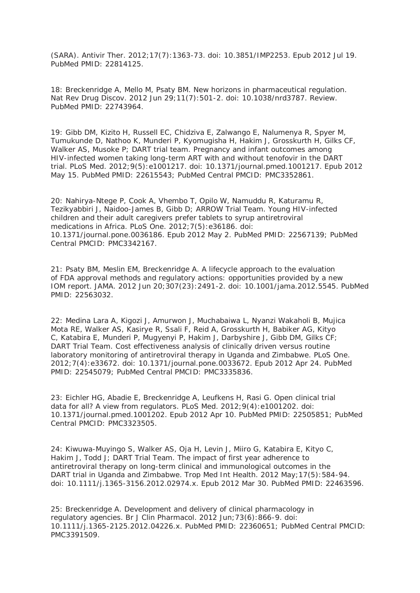(SARA). Antivir Ther. 2012;17(7):1363-73. doi: 10.3851/IMP2253. Epub 2012 Jul 19. PubMed PMID: 22814125.

18: Breckenridge A, Mello M, Psaty BM. New horizons in pharmaceutical regulation. Nat Rev Drug Discov. 2012 Jun 29;11(7):501-2. doi: 10.1038/nrd3787. Review. PubMed PMID: 22743964.

19: Gibb DM, Kizito H, Russell EC, Chidziva E, Zalwango E, Nalumenya R, Spyer M, Tumukunde D, Nathoo K, Munderi P, Kyomugisha H, Hakim J, Grosskurth H, Gilks CF, Walker AS, Musoke P; DART trial team. Pregnancy and infant outcomes among HIV-infected women taking long-term ART with and without tenofovir in the DART trial. PLoS Med. 2012;9(5):e1001217. doi: 10.1371/journal.pmed.1001217. Epub 2012 May 15. PubMed PMID: 22615543; PubMed Central PMCID: PMC3352861.

20: Nahirya-Ntege P, Cook A, Vhembo T, Opilo W, Namuddu R, Katuramu R, Tezikyabbiri J, Naidoo-James B, Gibb D; ARROW Trial Team. Young HIV-infected children and their adult caregivers prefer tablets to syrup antiretroviral medications in Africa. PLoS One. 2012;7(5):e36186. doi: 10.1371/journal.pone.0036186. Epub 2012 May 2. PubMed PMID: 22567139; PubMed Central PMCID: PMC3342167.

21: Psaty BM, Meslin EM, Breckenridge A. A lifecycle approach to the evaluation of FDA approval methods and regulatory actions: opportunities provided by a new IOM report. JAMA. 2012 Jun 20;307(23):2491-2. doi: 10.1001/jama.2012.5545. PubMed PMID: 22563032.

22: Medina Lara A, Kigozi J, Amurwon J, Muchabaiwa L, Nyanzi Wakaholi B, Mujica Mota RE, Walker AS, Kasirye R, Ssali F, Reid A, Grosskurth H, Babiker AG, Kityo C, Katabira E, Munderi P, Mugyenyi P, Hakim J, Darbyshire J, Gibb DM, Gilks CF; DART Trial Team. Cost effectiveness analysis of clinically driven versus routine laboratory monitoring of antiretroviral therapy in Uganda and Zimbabwe. PLoS One. 2012;7(4):e33672. doi: 10.1371/journal.pone.0033672. Epub 2012 Apr 24. PubMed PMID: 22545079; PubMed Central PMCID: PMC3335836.

23: Eichler HG, Abadie E, Breckenridge A, Leufkens H, Rasi G. Open clinical trial data for all? A view from regulators. PLoS Med. 2012;9(4):e1001202. doi: 10.1371/journal.pmed.1001202. Epub 2012 Apr 10. PubMed PMID: 22505851; PubMed Central PMCID: PMC3323505.

24: Kiwuwa-Muyingo S, Walker AS, Oja H, Levin J, Miiro G, Katabira E, Kityo C, Hakim J, Todd J; DART Trial Team. The impact of first year adherence to antiretroviral therapy on long-term clinical and immunological outcomes in the DART trial in Uganda and Zimbabwe. Trop Med Int Health. 2012 May;17(5):584-94. doi: 10.1111/j.1365-3156.2012.02974.x. Epub 2012 Mar 30. PubMed PMID: 22463596.

25: Breckenridge A. Development and delivery of clinical pharmacology in regulatory agencies. Br J Clin Pharmacol. 2012 Jun;73(6):866-9. doi: 10.1111/j.1365-2125.2012.04226.x. PubMed PMID: 22360651; PubMed Central PMCID: PMC3391509.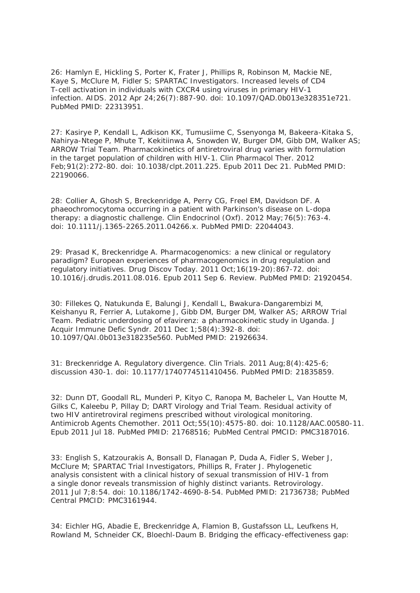26: Hamlyn E, Hickling S, Porter K, Frater J, Phillips R, Robinson M, Mackie NE, Kaye S, McClure M, Fidler S; SPARTAC Investigators. Increased levels of CD4 T-cell activation in individuals with CXCR4 using viruses in primary HIV-1 infection. AIDS. 2012 Apr 24;26(7):887-90. doi: 10.1097/QAD.0b013e328351e721. PubMed PMID: 22313951.

27: Kasirye P, Kendall L, Adkison KK, Tumusiime C, Ssenyonga M, Bakeera-Kitaka S, Nahirya-Ntege P, Mhute T, Kekitiinwa A, Snowden W, Burger DM, Gibb DM, Walker AS; ARROW Trial Team. Pharmacokinetics of antiretroviral drug varies with formulation in the target population of children with HIV-1. Clin Pharmacol Ther. 2012 Feb;91(2):272-80. doi: 10.1038/clpt.2011.225. Epub 2011 Dec 21. PubMed PMID: 22190066.

28: Collier A, Ghosh S, Breckenridge A, Perry CG, Freel EM, Davidson DF. A phaeochromocytoma occurring in a patient with Parkinson's disease on L-dopa therapy: a diagnostic challenge. Clin Endocrinol (Oxf). 2012 May;76(5):763-4. doi: 10.1111/j.1365-2265.2011.04266.x. PubMed PMID: 22044043.

29: Prasad K, Breckenridge A. Pharmacogenomics: a new clinical or regulatory paradigm? European experiences of pharmacogenomics in drug regulation and regulatory initiatives. Drug Discov Today. 2011 Oct;16(19-20):867-72. doi: 10.1016/j.drudis.2011.08.016. Epub 2011 Sep 6. Review. PubMed PMID: 21920454.

30: Fillekes Q, Natukunda E, Balungi J, Kendall L, Bwakura-Dangarembizi M, Keishanyu R, Ferrier A, Lutakome J, Gibb DM, Burger DM, Walker AS; ARROW Trial Team. Pediatric underdosing of efavirenz: a pharmacokinetic study in Uganda. J Acquir Immune Defic Syndr. 2011 Dec 1;58(4):392-8. doi: 10.1097/QAI.0b013e318235e560. PubMed PMID: 21926634.

31: Breckenridge A. Regulatory divergence. Clin Trials. 2011 Aug;8(4):425-6; discussion 430-1. doi: 10.1177/1740774511410456. PubMed PMID: 21835859.

32: Dunn DT, Goodall RL, Munderi P, Kityo C, Ranopa M, Bacheler L, Van Houtte M, Gilks C, Kaleebu P, Pillay D; DART Virology and Trial Team. Residual activity of two HIV antiretroviral regimens prescribed without virological monitoring. Antimicrob Agents Chemother. 2011 Oct;55(10):4575-80. doi: 10.1128/AAC.00580-11. Epub 2011 Jul 18. PubMed PMID: 21768516; PubMed Central PMCID: PMC3187016.

33: English S, Katzourakis A, Bonsall D, Flanagan P, Duda A, Fidler S, Weber J, McClure M; SPARTAC Trial Investigators, Phillips R, Frater J. Phylogenetic analysis consistent with a clinical history of sexual transmission of HIV-1 from a single donor reveals transmission of highly distinct variants. Retrovirology. 2011 Jul 7;8:54. doi: 10.1186/1742-4690-8-54. PubMed PMID: 21736738; PubMed Central PMCID: PMC3161944.

34: Eichler HG, Abadie E, Breckenridge A, Flamion B, Gustafsson LL, Leufkens H, Rowland M, Schneider CK, Bloechl-Daum B. Bridging the efficacy-effectiveness gap: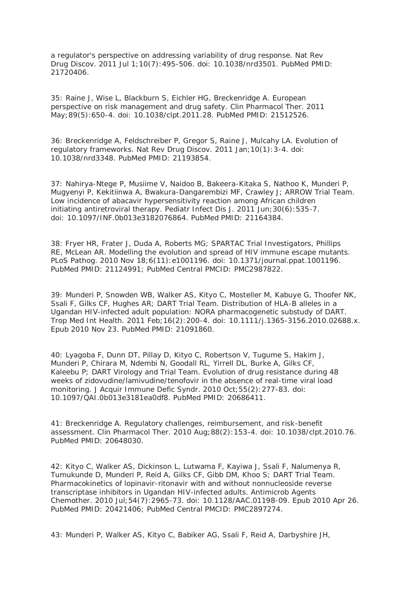a regulator's perspective on addressing variability of drug response. Nat Rev Drug Discov. 2011 Jul 1;10(7):495-506. doi: 10.1038/nrd3501. PubMed PMID: 21720406.

35: Raine J, Wise L, Blackburn S, Eichler HG, Breckenridge A. European perspective on risk management and drug safety. Clin Pharmacol Ther. 2011 May;89(5):650-4. doi: 10.1038/clpt.2011.28. PubMed PMID: 21512526.

36: Breckenridge A, Feldschreiber P, Gregor S, Raine J, Mulcahy LA. Evolution of regulatory frameworks. Nat Rev Drug Discov. 2011 Jan;10(1):3-4. doi: 10.1038/nrd3348. PubMed PMID: 21193854.

37: Nahirya-Ntege P, Musiime V, Naidoo B, Bakeera-Kitaka S, Nathoo K, Munderi P, Mugyenyi P, Kekitiinwa A, Bwakura-Dangarembizi MF, Crawley J; ARROW Trial Team. Low incidence of abacavir hypersensitivity reaction among African children initiating antiretroviral therapy. Pediatr Infect Dis J. 2011 Jun;30(6):535-7. doi: 10.1097/INF.0b013e3182076864. PubMed PMID: 21164384.

38: Fryer HR, Frater J, Duda A, Roberts MG; SPARTAC Trial Investigators, Phillips RE, McLean AR. Modelling the evolution and spread of HIV immune escape mutants. PLoS Pathog. 2010 Nov 18;6(11):e1001196. doi: 10.1371/journal.ppat.1001196. PubMed PMID: 21124991; PubMed Central PMCID: PMC2987822.

39: Munderi P, Snowden WB, Walker AS, Kityo C, Mosteller M, Kabuye G, Thoofer NK, Ssali F, Gilks CF, Hughes AR; DART Trial Team. Distribution of HLA-B alleles in a Ugandan HIV-infected adult population: NORA pharmacogenetic substudy of DART. Trop Med Int Health. 2011 Feb;16(2):200-4. doi: 10.1111/j.1365-3156.2010.02688.x. Epub 2010 Nov 23. PubMed PMID: 21091860.

40: Lyagoba F, Dunn DT, Pillay D, Kityo C, Robertson V, Tugume S, Hakim J, Munderi P, Chirara M, Ndembi N, Goodall RL, Yirrell DL, Burke A, Gilks CF, Kaleebu P; DART Virology and Trial Team. Evolution of drug resistance during 48 weeks of zidovudine/lamivudine/tenofovir in the absence of real-time viral load monitoring. J Acquir Immune Defic Syndr. 2010 Oct;55(2):277-83. doi: 10.1097/QAI.0b013e3181ea0df8. PubMed PMID: 20686411.

41: Breckenridge A. Regulatory challenges, reimbursement, and risk-benefit assessment. Clin Pharmacol Ther. 2010 Aug;88(2):153-4. doi: 10.1038/clpt.2010.76. PubMed PMID: 20648030.

42: Kityo C, Walker AS, Dickinson L, Lutwama F, Kayiwa J, Ssali F, Nalumenya R, Tumukunde D, Munderi P, Reid A, Gilks CF, Gibb DM, Khoo S; DART Trial Team. Pharmacokinetics of lopinavir-ritonavir with and without nonnucleoside reverse transcriptase inhibitors in Ugandan HIV-infected adults. Antimicrob Agents Chemother. 2010 Jul;54(7):2965-73. doi: 10.1128/AAC.01198-09. Epub 2010 Apr 26. PubMed PMID: 20421406; PubMed Central PMCID: PMC2897274.

43: Munderi P, Walker AS, Kityo C, Babiker AG, Ssali F, Reid A, Darbyshire JH,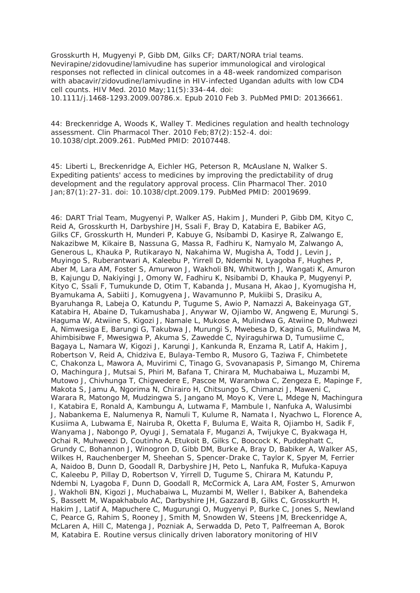Grosskurth H, Mugyenyi P, Gibb DM, Gilks CF; DART/NORA trial teams. Nevirapine/zidovudine/lamivudine has superior immunological and virological responses not reflected in clinical outcomes in a 48-week randomized comparison with abacavir/zidovudine/lamivudine in HIV-infected Ugandan adults with low CD4 cell counts. HIV Med. 2010 May;11(5):334-44. doi:

10.1111/j.1468-1293.2009.00786.x. Epub 2010 Feb 3. PubMed PMID: 20136661.

44: Breckenridge A, Woods K, Walley T. Medicines regulation and health technology assessment. Clin Pharmacol Ther. 2010 Feb;87(2):152-4. doi: 10.1038/clpt.2009.261. PubMed PMID: 20107448.

45: Liberti L, Breckenridge A, Eichler HG, Peterson R, McAuslane N, Walker S. Expediting patients' access to medicines by improving the predictability of drug development and the regulatory approval process. Clin Pharmacol Ther. 2010 Jan;87(1):27-31. doi: 10.1038/clpt.2009.179. PubMed PMID: 20019699.

46: DART Trial Team, Mugyenyi P, Walker AS, Hakim J, Munderi P, Gibb DM, Kityo C, Reid A, Grosskurth H, Darbyshire JH, Ssali F, Bray D, Katabira E, Babiker AG, Gilks CF, Grosskurth H, Munderi P, Kabuye G, Nsibambi D, Kasirye R, Zalwango E, Nakazibwe M, Kikaire B, Nassuna G, Massa R, Fadhiru K, Namyalo M, Zalwango A, Generous L, Khauka P, Rutikarayo N, Nakahima W, Mugisha A, Todd J, Levin J, Muyingo S, Ruberantwari A, Kaleebu P, Yirrell D, Ndembi N, Lyagoba F, Hughes P, Aber M, Lara AM, Foster S, Amurwon J, Wakholi BN, Whitworth J, Wangati K, Amuron B, Kajungu D, Nakiyingi J, Omony W, Fadhiru K, Nsibambi D, Khauka P, Mugyenyi P, Kityo C, Ssali F, Tumukunde D, Otim T, Kabanda J, Musana H, Akao J, Kyomugisha H, Byamukama A, Sabiiti J, Komugyena J, Wavamunno P, Mukiibi S, Drasiku A, Byaruhanga R, Labeja O, Katundu P, Tugume S, Awio P, Namazzi A, Bakeinyaga GT, Katabira H, Abaine D, Tukamushaba J, Anywar W, Ojiambo W, Angweng E, Murungi S, Haguma W, Atwiine S, Kigozi J, Namale L, Mukose A, Mulindwa G, Atwiine D, Muhwezi A, Nimwesiga E, Barungi G, Takubwa J, Murungi S, Mwebesa D, Kagina G, Mulindwa M, Ahimbisibwe F, Mwesigwa P, Akuma S, Zawedde C, Nyiraguhirwa D, Tumusiime C, Bagaya L, Namara W, Kigozi J, Karungi J, Kankunda R, Enzama R, Latif A, Hakim J, Robertson V, Reid A, Chidziva E, Bulaya-Tembo R, Musoro G, Taziwa F, Chimbetete C, Chakonza L, Mawora A, Muvirimi C, Tinago G, Svovanapasis P, Simango M, Chirema O, Machingura J, Mutsai S, Phiri M, Bafana T, Chirara M, Muchabaiwa L, Muzambi M, Mutowo J, Chivhunga T, Chigwedere E, Pascoe M, Warambwa C, Zengeza E, Mapinge F, Makota S, Jamu A, Ngorima N, Chirairo H, Chitsungo S, Chimanzi J, Maweni C, Warara R, Matongo M, Mudzingwa S, Jangano M, Moyo K, Vere L, Mdege N, Machingura I, Katabira E, Ronald A, Kambungu A, Lutwama F, Mambule I, Nanfuka A, Walusimbi J, Nabankema E, Nalumenya R, Namuli T, Kulume R, Namata I, Nyachwo L, Florence A, Kusiima A, Lubwama E, Nairuba R, Oketta F, Buluma E, Waita R, Ojiambo H, Sadik F, Wanyama J, Nabongo P, Oyugi J, Sematala F, Muganzi A, Twijukye C, Byakwaga H, Ochai R, Muhweezi D, Coutinho A, Etukoit B, Gilks C, Boocock K, Puddephatt C, Grundy C, Bohannon J, Winogron D, Gibb DM, Burke A, Bray D, Babiker A, Walker AS, Wilkes H, Rauchenberger M, Sheehan S, Spencer-Drake C, Taylor K, Spyer M, Ferrier A, Naidoo B, Dunn D, Goodall R, Darbyshire JH, Peto L, Nanfuka R, Mufuka-Kapuya C, Kaleebu P, Pillay D, Robertson V, Yirrell D, Tugume S, Chirara M, Katundu P, Ndembi N, Lyagoba F, Dunn D, Goodall R, McCormick A, Lara AM, Foster S, Amurwon J, Wakholi BN, Kigozi J, Muchabaiwa L, Muzambi M, Weller I, Babiker A, Bahendeka S, Bassett M, Wapakhabulo AC, Darbyshire JH, Gazzard B, Gilks C, Grosskurth H, Hakim J, Latif A, Mapuchere C, Mugurungi O, Mugyenyi P, Burke C, Jones S, Newland C, Pearce G, Rahim S, Rooney J, Smith M, Snowden W, Steens JM, Breckenridge A, McLaren A, Hill C, Matenga J, Pozniak A, Serwadda D, Peto T, Palfreeman A, Borok M, Katabira E. Routine versus clinically driven laboratory monitoring of HIV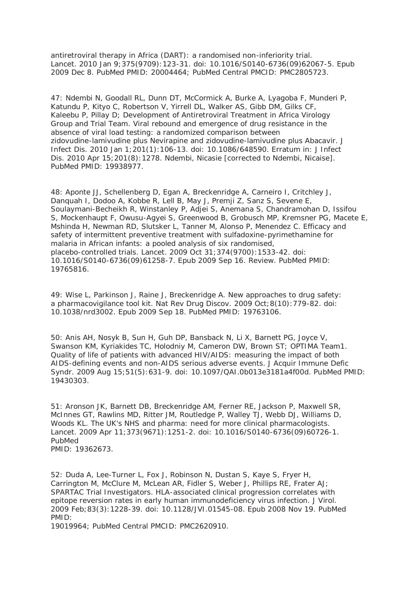antiretroviral therapy in Africa (DART): a randomised non-inferiority trial. Lancet. 2010 Jan 9;375(9709):123-31. doi: 10.1016/S0140-6736(09)62067-5. Epub 2009 Dec 8. PubMed PMID: 20004464; PubMed Central PMCID: PMC2805723.

47: Ndembi N, Goodall RL, Dunn DT, McCormick A, Burke A, Lyagoba F, Munderi P, Katundu P, Kityo C, Robertson V, Yirrell DL, Walker AS, Gibb DM, Gilks CF, Kaleebu P, Pillay D; Development of Antiretroviral Treatment in Africa Virology Group and Trial Team. Viral rebound and emergence of drug resistance in the absence of viral load testing: a randomized comparison between zidovudine-lamivudine plus Nevirapine and zidovudine-lamivudine plus Abacavir. J Infect Dis. 2010 Jan 1;201(1):106-13. doi: 10.1086/648590. Erratum in: J Infect Dis. 2010 Apr 15;201(8):1278. Ndembi, Nicasie [corrected to Ndembi, Nicaise]. PubMed PMID: 19938977.

48: Aponte JJ, Schellenberg D, Egan A, Breckenridge A, Carneiro I, Critchley J, Danquah I, Dodoo A, Kobbe R, Lell B, May J, Premji Z, Sanz S, Sevene E, Soulaymani-Becheikh R, Winstanley P, Adjei S, Anemana S, Chandramohan D, Issifou S, Mockenhaupt F, Owusu-Agyei S, Greenwood B, Grobusch MP, Kremsner PG, Macete E, Mshinda H, Newman RD, Slutsker L, Tanner M, Alonso P, Menendez C. Efficacy and safety of intermittent preventive treatment with sulfadoxine-pyrimethamine for malaria in African infants: a pooled analysis of six randomised, placebo-controlled trials. Lancet. 2009 Oct 31;374(9700):1533-42. doi: 10.1016/S0140-6736(09)61258-7. Epub 2009 Sep 16. Review. PubMed PMID: 19765816.

49: Wise L, Parkinson J, Raine J, Breckenridge A. New approaches to drug safety: a pharmacovigilance tool kit. Nat Rev Drug Discov. 2009 Oct;8(10):779-82. doi: 10.1038/nrd3002. Epub 2009 Sep 18. PubMed PMID: 19763106.

50: Anis AH, Nosyk B, Sun H, Guh DP, Bansback N, Li X, Barnett PG, Joyce V, Swanson KM, Kyriakides TC, Holodniy M, Cameron DW, Brown ST; OPTIMA Team1. Quality of life of patients with advanced HIV/AIDS: measuring the impact of both AIDS-defining events and non-AIDS serious adverse events. J Acquir Immune Defic Syndr. 2009 Aug 15;51(5):631-9. doi: 10.1097/QAI.0b013e3181a4f00d. PubMed PMID: 19430303.

51: Aronson JK, Barnett DB, Breckenridge AM, Ferner RE, Jackson P, Maxwell SR, McInnes GT, Rawlins MD, Ritter JM, Routledge P, Walley TJ, Webb DJ, Williams D, Woods KL. The UK's NHS and pharma: need for more clinical pharmacologists. Lancet. 2009 Apr 11;373(9671):1251-2. doi: 10.1016/S0140-6736(09)60726-1. PubMed PMID: 19362673.

52: Duda A, Lee-Turner L, Fox J, Robinson N, Dustan S, Kaye S, Fryer H, Carrington M, McClure M, McLean AR, Fidler S, Weber J, Phillips RE, Frater AJ; SPARTAC Trial Investigators. HLA-associated clinical progression correlates with epitope reversion rates in early human immunodeficiency virus infection. J Virol. 2009 Feb;83(3):1228-39. doi: 10.1128/JVI.01545-08. Epub 2008 Nov 19. PubMed PMID:

19019964; PubMed Central PMCID: PMC2620910.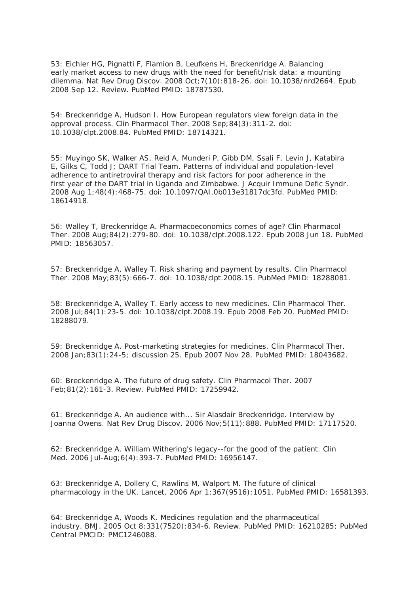53: Eichler HG, Pignatti F, Flamion B, Leufkens H, Breckenridge A. Balancing early market access to new drugs with the need for benefit/risk data: a mounting dilemma. Nat Rev Drug Discov. 2008 Oct;7(10):818-26. doi: 10.1038/nrd2664. Epub 2008 Sep 12. Review. PubMed PMID: 18787530.

54: Breckenridge A, Hudson I. How European regulators view foreign data in the approval process. Clin Pharmacol Ther. 2008 Sep;84(3):311-2. doi: 10.1038/clpt.2008.84. PubMed PMID: 18714321.

55: Muyingo SK, Walker AS, Reid A, Munderi P, Gibb DM, Ssali F, Levin J, Katabira E, Gilks C, Todd J; DART Trial Team. Patterns of individual and population-level adherence to antiretroviral therapy and risk factors for poor adherence in the first year of the DART trial in Uganda and Zimbabwe. J Acquir Immune Defic Syndr. 2008 Aug 1;48(4):468-75. doi: 10.1097/QAI.0b013e31817dc3fd. PubMed PMID: 18614918.

56: Walley T, Breckenridge A. Pharmacoeconomics comes of age? Clin Pharmacol Ther. 2008 Aug;84(2):279-80. doi: 10.1038/clpt.2008.122. Epub 2008 Jun 18. PubMed PMID: 18563057.

57: Breckenridge A, Walley T. Risk sharing and payment by results. Clin Pharmacol Ther. 2008 May;83(5):666-7. doi: 10.1038/clpt.2008.15. PubMed PMID: 18288081.

58: Breckenridge A, Walley T. Early access to new medicines. Clin Pharmacol Ther. 2008 Jul;84(1):23-5. doi: 10.1038/clpt.2008.19. Epub 2008 Feb 20. PubMed PMID: 18288079.

59: Breckenridge A. Post-marketing strategies for medicines. Clin Pharmacol Ther. 2008 Jan;83(1):24-5; discussion 25. Epub 2007 Nov 28. PubMed PMID: 18043682.

60: Breckenridge A. The future of drug safety. Clin Pharmacol Ther. 2007 Feb;81(2):161-3. Review. PubMed PMID: 17259942.

61: Breckenridge A. An audience with... Sir Alasdair Breckenridge. Interview by Joanna Owens. Nat Rev Drug Discov. 2006 Nov;5(11):888. PubMed PMID: 17117520.

62: Breckenridge A. William Withering's legacy--for the good of the patient. Clin Med. 2006 Jul-Aug;6(4):393-7. PubMed PMID: 16956147.

63: Breckenridge A, Dollery C, Rawlins M, Walport M. The future of clinical pharmacology in the UK. Lancet. 2006 Apr 1;367(9516):1051. PubMed PMID: 16581393.

64: Breckenridge A, Woods K. Medicines regulation and the pharmaceutical industry. BMJ. 2005 Oct 8;331(7520):834-6. Review. PubMed PMID: 16210285; PubMed Central PMCID: PMC1246088.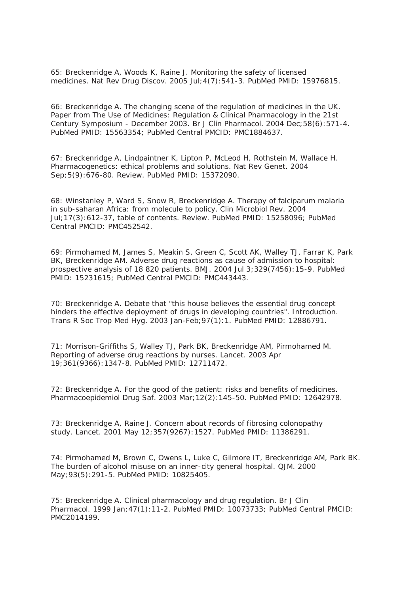65: Breckenridge A, Woods K, Raine J. Monitoring the safety of licensed medicines. Nat Rev Drug Discov. 2005 Jul;4(7):541-3. PubMed PMID: 15976815.

66: Breckenridge A. The changing scene of the regulation of medicines in the UK. Paper from The Use of Medicines: Regulation & Clinical Pharmacology in the 21st Century Symposium - December 2003. Br J Clin Pharmacol. 2004 Dec;58(6):571-4. PubMed PMID: 15563354; PubMed Central PMCID: PMC1884637.

67: Breckenridge A, Lindpaintner K, Lipton P, McLeod H, Rothstein M, Wallace H. Pharmacogenetics: ethical problems and solutions. Nat Rev Genet. 2004 Sep;5(9):676-80. Review. PubMed PMID: 15372090.

68: Winstanley P, Ward S, Snow R, Breckenridge A. Therapy of falciparum malaria in sub-saharan Africa: from molecule to policy. Clin Microbiol Rev. 2004 Jul;17(3):612-37, table of contents. Review. PubMed PMID: 15258096; PubMed Central PMCID: PMC452542.

69: Pirmohamed M, James S, Meakin S, Green C, Scott AK, Walley TJ, Farrar K, Park BK, Breckenridge AM. Adverse drug reactions as cause of admission to hospital: prospective analysis of 18 820 patients. BMJ. 2004 Jul 3;329(7456):15-9. PubMed PMID: 15231615; PubMed Central PMCID: PMC443443.

70: Breckenridge A. Debate that "this house believes the essential drug concept hinders the effective deployment of drugs in developing countries". Introduction. Trans R Soc Trop Med Hyg. 2003 Jan-Feb;97(1):1. PubMed PMID: 12886791.

71: Morrison-Griffiths S, Walley TJ, Park BK, Breckenridge AM, Pirmohamed M. Reporting of adverse drug reactions by nurses. Lancet. 2003 Apr 19;361(9366):1347-8. PubMed PMID: 12711472.

72: Breckenridge A. For the good of the patient: risks and benefits of medicines. Pharmacoepidemiol Drug Saf. 2003 Mar;12(2):145-50. PubMed PMID: 12642978.

73: Breckenridge A, Raine J. Concern about records of fibrosing colonopathy study. Lancet. 2001 May 12;357(9267):1527. PubMed PMID: 11386291.

74: Pirmohamed M, Brown C, Owens L, Luke C, Gilmore IT, Breckenridge AM, Park BK. The burden of alcohol misuse on an inner-city general hospital. QJM. 2000 May;93(5):291-5. PubMed PMID: 10825405.

75: Breckenridge A. Clinical pharmacology and drug regulation. Br J Clin Pharmacol. 1999 Jan; 47(1): 11-2. PubMed PMID: 10073733; PubMed Central PMCID: PMC2014199.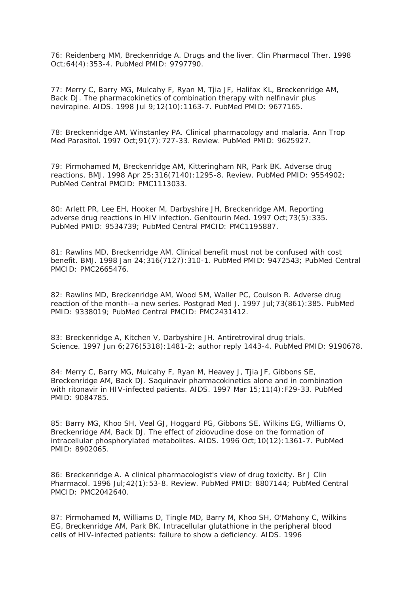76: Reidenberg MM, Breckenridge A. Drugs and the liver. Clin Pharmacol Ther. 1998 Oct;64(4):353-4. PubMed PMID: 9797790.

77: Merry C, Barry MG, Mulcahy F, Ryan M, Tjia JF, Halifax KL, Breckenridge AM, Back DJ. The pharmacokinetics of combination therapy with nelfinavir plus nevirapine. AIDS. 1998 Jul 9;12(10):1163-7. PubMed PMID: 9677165.

78: Breckenridge AM, Winstanley PA. Clinical pharmacology and malaria. Ann Trop Med Parasitol. 1997 Oct;91(7):727-33. Review. PubMed PMID: 9625927.

79: Pirmohamed M, Breckenridge AM, Kitteringham NR, Park BK. Adverse drug reactions. BMJ. 1998 Apr 25;316(7140):1295-8. Review. PubMed PMID: 9554902; PubMed Central PMCID: PMC1113033.

80: Arlett PR, Lee EH, Hooker M, Darbyshire JH, Breckenridge AM. Reporting adverse drug reactions in HIV infection. Genitourin Med. 1997 Oct;73(5):335. PubMed PMID: 9534739; PubMed Central PMCID: PMC1195887.

81: Rawlins MD, Breckenridge AM. Clinical benefit must not be confused with cost benefit. BMJ. 1998 Jan 24;316(7127):310-1. PubMed PMID: 9472543; PubMed Central PMCID: PMC2665476.

82: Rawlins MD, Breckenridge AM, Wood SM, Waller PC, Coulson R. Adverse drug reaction of the month--a new series. Postgrad Med J. 1997 Jul;73(861):385. PubMed PMID: 9338019; PubMed Central PMCID: PMC2431412.

83: Breckenridge A, Kitchen V, Darbyshire JH. Antiretroviral drug trials. Science. 1997 Jun 6;276(5318):1481-2; author reply 1443-4. PubMed PMID: 9190678.

84: Merry C, Barry MG, Mulcahy F, Ryan M, Heavey J, Tjia JF, Gibbons SE, Breckenridge AM, Back DJ. Saquinavir pharmacokinetics alone and in combination with ritonavir in HIV-infected patients. AIDS. 1997 Mar 15;11(4):F29-33. PubMed PMID: 9084785.

85: Barry MG, Khoo SH, Veal GJ, Hoggard PG, Gibbons SE, Wilkins EG, Williams O, Breckenridge AM, Back DJ. The effect of zidovudine dose on the formation of intracellular phosphorylated metabolites. AIDS. 1996 Oct;10(12):1361-7. PubMed PMID: 8902065.

86: Breckenridge A. A clinical pharmacologist's view of drug toxicity. Br J Clin Pharmacol. 1996 Jul;42(1):53-8. Review. PubMed PMID: 8807144; PubMed Central PMCID: PMC2042640.

87: Pirmohamed M, Williams D, Tingle MD, Barry M, Khoo SH, O'Mahony C, Wilkins EG, Breckenridge AM, Park BK. Intracellular glutathione in the peripheral blood cells of HIV-infected patients: failure to show a deficiency. AIDS. 1996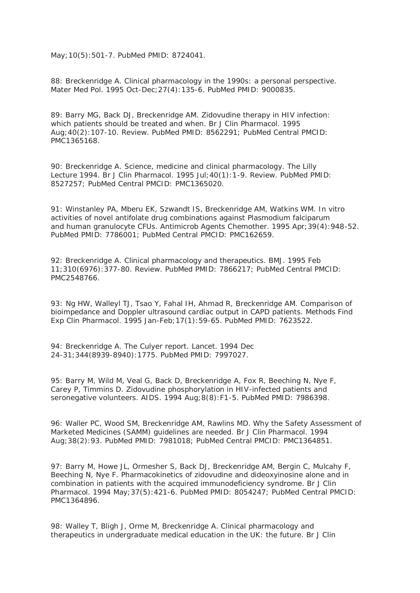May;10(5):501-7. PubMed PMID: 8724041.

88: Breckenridge A. Clinical pharmacology in the 1990s: a personal perspective. Mater Med Pol. 1995 Oct-Dec;27(4):135-6. PubMed PMID: 9000835.

89: Barry MG, Back DJ, Breckenridge AM. Zidovudine therapy in HIV infection: which patients should be treated and when. Br J Clin Pharmacol. 1995 Aug;40(2):107-10. Review. PubMed PMID: 8562291; PubMed Central PMCID: PMC1365168.

90: Breckenridge A. Science, medicine and clinical pharmacology. The Lilly Lecture 1994. Br J Clin Pharmacol. 1995 Jul; 40(1): 1-9. Review. PubMed PMID: 8527257; PubMed Central PMCID: PMC1365020.

91: Winstanley PA, Mberu EK, Szwandt IS, Breckenridge AM, Watkins WM. In vitro activities of novel antifolate drug combinations against Plasmodium falciparum and human granulocyte CFUs. Antimicrob Agents Chemother. 1995 Apr;39(4):948-52. PubMed PMID: 7786001; PubMed Central PMCID: PMC162659.

92: Breckenridge A. Clinical pharmacology and therapeutics. BMJ. 1995 Feb 11;310(6976):377-80. Review. PubMed PMID: 7866217; PubMed Central PMCID: PMC2548766.

93: Ng HW, Walleyl TJ, Tsao Y, Fahal IH, Ahmad R, Breckenridge AM. Comparison of bioimpedance and Doppler ultrasound cardiac output in CAPD patients. Methods Find Exp Clin Pharmacol. 1995 Jan-Feb;17(1):59-65. PubMed PMID: 7623522.

94: Breckenridge A. The Culyer report. Lancet. 1994 Dec 24-31;344(8939-8940):1775. PubMed PMID: 7997027.

95: Barry M, Wild M, Veal G, Back D, Breckenridge A, Fox R, Beeching N, Nye F, Carey P, Timmins D. Zidovudine phosphorylation in HIV-infected patients and seronegative volunteers. AIDS. 1994 Aug;8(8):F1-5. PubMed PMID: 7986398.

96: Waller PC, Wood SM, Breckenridge AM, Rawlins MD. Why the Safety Assessment of Marketed Medicines (SAMM) guidelines are needed. Br J Clin Pharmacol. 1994 Aug;38(2):93. PubMed PMID: 7981018; PubMed Central PMCID: PMC1364851.

97: Barry M, Howe JL, Ormesher S, Back DJ, Breckenridge AM, Bergin C, Mulcahy F, Beeching N, Nye F. Pharmacokinetics of zidovudine and dideoxyinosine alone and in combination in patients with the acquired immunodeficiency syndrome. Br J Clin Pharmacol. 1994 May;37(5):421-6. PubMed PMID: 8054247; PubMed Central PMCID: PMC1364896.

98: Walley T, Bligh J, Orme M, Breckenridge A. Clinical pharmacology and therapeutics in undergraduate medical education in the UK: the future. Br J Clin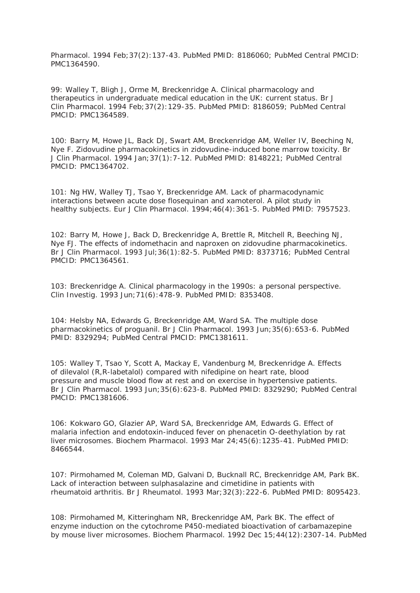Pharmacol. 1994 Feb;37(2):137-43. PubMed PMID: 8186060; PubMed Central PMCID: PMC1364590.

99: Walley T, Bligh J, Orme M, Breckenridge A. Clinical pharmacology and therapeutics in undergraduate medical education in the UK: current status. Br J Clin Pharmacol. 1994 Feb;37(2):129-35. PubMed PMID: 8186059; PubMed Central PMCID: PMC1364589.

100: Barry M, Howe JL, Back DJ, Swart AM, Breckenridge AM, Weller IV, Beeching N, Nye F. Zidovudine pharmacokinetics in zidovudine-induced bone marrow toxicity. Br J Clin Pharmacol. 1994 Jan;37(1):7-12. PubMed PMID: 8148221; PubMed Central PMCID: PMC1364702.

101: Ng HW, Walley TJ, Tsao Y, Breckenridge AM. Lack of pharmacodynamic interactions between acute dose flosequinan and xamoterol. A pilot study in healthy subjects. Eur J Clin Pharmacol. 1994;46(4):361-5. PubMed PMID: 7957523.

102: Barry M, Howe J, Back D, Breckenridge A, Brettle R, Mitchell R, Beeching NJ, Nye FJ. The effects of indomethacin and naproxen on zidovudine pharmacokinetics. Br J Clin Pharmacol. 1993 Jul;36(1):82-5. PubMed PMID: 8373716; PubMed Central PMCID: PMC1364561.

103: Breckenridge A. Clinical pharmacology in the 1990s: a personal perspective. Clin Investig. 1993 Jun;71(6):478-9. PubMed PMID: 8353408.

104: Helsby NA, Edwards G, Breckenridge AM, Ward SA. The multiple dose pharmacokinetics of proguanil. Br J Clin Pharmacol. 1993 Jun;35(6):653-6. PubMed PMID: 8329294; PubMed Central PMCID: PMC1381611.

105: Walley T, Tsao Y, Scott A, Mackay E, Vandenburg M, Breckenridge A. Effects of dilevalol (R,R-labetalol) compared with nifedipine on heart rate, blood pressure and muscle blood flow at rest and on exercise in hypertensive patients. Br J Clin Pharmacol. 1993 Jun;35(6):623-8. PubMed PMID: 8329290; PubMed Central PMCID: PMC1381606.

106: Kokwaro GO, Glazier AP, Ward SA, Breckenridge AM, Edwards G. Effect of malaria infection and endotoxin-induced fever on phenacetin O-deethylation by rat liver microsomes. Biochem Pharmacol. 1993 Mar 24;45(6):1235-41. PubMed PMID: 8466544.

107: Pirmohamed M, Coleman MD, Galvani D, Bucknall RC, Breckenridge AM, Park BK. Lack of interaction between sulphasalazine and cimetidine in patients with rheumatoid arthritis. Br J Rheumatol. 1993 Mar;32(3):222-6. PubMed PMID: 8095423.

108: Pirmohamed M, Kitteringham NR, Breckenridge AM, Park BK. The effect of enzyme induction on the cytochrome P450-mediated bioactivation of carbamazepine by mouse liver microsomes. Biochem Pharmacol. 1992 Dec 15;44(12):2307-14. PubMed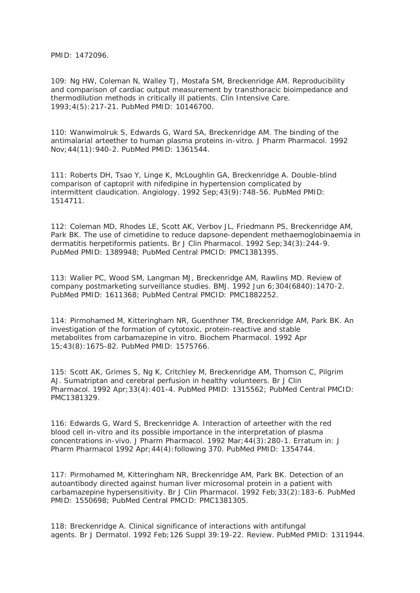PMID: 1472096.

109: Ng HW, Coleman N, Walley TJ, Mostafa SM, Breckenridge AM. Reproducibility and comparison of cardiac output measurement by transthoracic bioimpedance and thermodilution methods in critically ill patients. Clin Intensive Care. 1993;4(5):217-21. PubMed PMID: 10146700.

110: Wanwimolruk S, Edwards G, Ward SA, Breckenridge AM. The binding of the antimalarial arteether to human plasma proteins in-vitro. J Pharm Pharmacol. 1992 Nov;44(11):940-2. PubMed PMID: 1361544.

111: Roberts DH, Tsao Y, Linge K, McLoughlin GA, Breckenridge A. Double-blind comparison of captopril with nifedipine in hypertension complicated by intermittent claudication. Angiology. 1992 Sep;43(9):748-56. PubMed PMID: 1514711.

112: Coleman MD, Rhodes LE, Scott AK, Verbov JL, Friedmann PS, Breckenridge AM, Park BK. The use of cimetidine to reduce dapsone-dependent methaemoglobinaemia in dermatitis herpetiformis patients. Br J Clin Pharmacol. 1992 Sep;34(3):244-9. PubMed PMID: 1389948; PubMed Central PMCID: PMC1381395.

113: Waller PC, Wood SM, Langman MJ, Breckenridge AM, Rawlins MD. Review of company postmarketing surveillance studies. BMJ. 1992 Jun 6;304(6840):1470-2. PubMed PMID: 1611368; PubMed Central PMCID: PMC1882252.

114: Pirmohamed M, Kitteringham NR, Guenthner TM, Breckenridge AM, Park BK. An investigation of the formation of cytotoxic, protein-reactive and stable metabolites from carbamazepine in vitro. Biochem Pharmacol. 1992 Apr 15;43(8):1675-82. PubMed PMID: 1575766.

115: Scott AK, Grimes S, Ng K, Critchley M, Breckenridge AM, Thomson C, Pilgrim AJ. Sumatriptan and cerebral perfusion in healthy volunteers. Br J Clin Pharmacol. 1992 Apr;33(4):401-4. PubMed PMID: 1315562; PubMed Central PMCID: PMC1381329.

116: Edwards G, Ward S, Breckenridge A. Interaction of arteether with the red blood cell in-vitro and its possible importance in the interpretation of plasma concentrations in-vivo. J Pharm Pharmacol. 1992 Mar;44(3):280-1. Erratum in: J Pharm Pharmacol 1992 Apr; 44(4): following 370. PubMed PMID: 1354744.

117: Pirmohamed M, Kitteringham NR, Breckenridge AM, Park BK. Detection of an autoantibody directed against human liver microsomal protein in a patient with carbamazepine hypersensitivity. Br J Clin Pharmacol. 1992 Feb;33(2):183-6. PubMed PMID: 1550698; PubMed Central PMCID: PMC1381305.

118: Breckenridge A. Clinical significance of interactions with antifungal agents. Br J Dermatol. 1992 Feb;126 Suppl 39:19-22. Review. PubMed PMID: 1311944.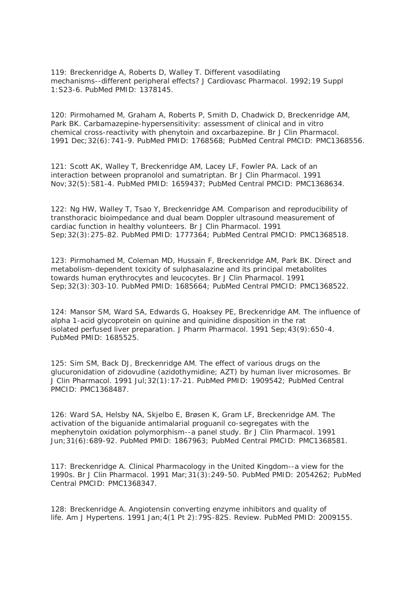119: Breckenridge A, Roberts D, Walley T. Different vasodilating mechanisms--different peripheral effects? J Cardiovasc Pharmacol. 1992;19 Suppl 1:S23-6. PubMed PMID: 1378145.

120: Pirmohamed M, Graham A, Roberts P, Smith D, Chadwick D, Breckenridge AM, Park BK. Carbamazepine-hypersensitivity: assessment of clinical and in vitro chemical cross-reactivity with phenytoin and oxcarbazepine. Br J Clin Pharmacol. 1991 Dec;32(6):741-9. PubMed PMID: 1768568; PubMed Central PMCID: PMC1368556.

121: Scott AK, Walley T, Breckenridge AM, Lacey LF, Fowler PA. Lack of an interaction between propranolol and sumatriptan. Br J Clin Pharmacol. 1991 Nov;32(5):581-4. PubMed PMID: 1659437; PubMed Central PMCID: PMC1368634.

122: Ng HW, Walley T, Tsao Y, Breckenridge AM. Comparison and reproducibility of transthoracic bioimpedance and dual beam Doppler ultrasound measurement of cardiac function in healthy volunteers. Br J Clin Pharmacol. 1991 Sep;32(3):275-82. PubMed PMID: 1777364; PubMed Central PMCID: PMC1368518.

123: Pirmohamed M, Coleman MD, Hussain F, Breckenridge AM, Park BK. Direct and metabolism-dependent toxicity of sulphasalazine and its principal metabolites towards human erythrocytes and leucocytes. Br J Clin Pharmacol. 1991 Sep;32(3):303-10. PubMed PMID: 1685664; PubMed Central PMCID: PMC1368522.

124: Mansor SM, Ward SA, Edwards G, Hoaksey PE, Breckenridge AM. The influence of alpha 1-acid glycoprotein on quinine and quinidine disposition in the rat isolated perfused liver preparation. J Pharm Pharmacol. 1991 Sep;43(9):650-4. PubMed PMID: 1685525.

125: Sim SM, Back DJ, Breckenridge AM. The effect of various drugs on the glucuronidation of zidovudine (azidothymidine; AZT) by human liver microsomes. Br J Clin Pharmacol. 1991 Jul;32(1):17-21. PubMed PMID: 1909542; PubMed Central PMCID: PMC1368487.

126: Ward SA, Helsby NA, Skjelbo E, Brøsen K, Gram LF, Breckenridge AM. The activation of the biguanide antimalarial proguanil co-segregates with the mephenytoin oxidation polymorphism--a panel study. Br J Clin Pharmacol. 1991 Jun;31(6):689-92. PubMed PMID: 1867963; PubMed Central PMCID: PMC1368581.

117: Breckenridge A. Clinical Pharmacology in the United Kingdom--a view for the 1990s. Br J Clin Pharmacol. 1991 Mar;31(3):249-50. PubMed PMID: 2054262; PubMed Central PMCID: PMC1368347.

128: Breckenridge A. Angiotensin converting enzyme inhibitors and quality of life. Am J Hypertens. 1991 Jan;4(1 Pt 2):79S-82S. Review. PubMed PMID: 2009155.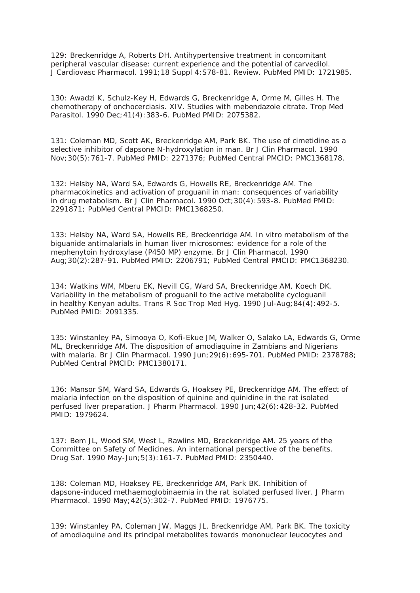129: Breckenridge A, Roberts DH. Antihypertensive treatment in concomitant peripheral vascular disease: current experience and the potential of carvedilol. J Cardiovasc Pharmacol. 1991;18 Suppl 4:S78-81. Review. PubMed PMID: 1721985.

130: Awadzi K, Schulz-Key H, Edwards G, Breckenridge A, Orme M, Gilles H. The chemotherapy of onchocerciasis. XIV. Studies with mebendazole citrate. Trop Med Parasitol. 1990 Dec;41(4):383-6. PubMed PMID: 2075382.

131: Coleman MD, Scott AK, Breckenridge AM, Park BK. The use of cimetidine as a selective inhibitor of dapsone N-hydroxylation in man. Br J Clin Pharmacol. 1990 Nov;30(5):761-7. PubMed PMID: 2271376; PubMed Central PMCID: PMC1368178.

132: Helsby NA, Ward SA, Edwards G, Howells RE, Breckenridge AM. The pharmacokinetics and activation of proguanil in man: consequences of variability in drug metabolism. Br J Clin Pharmacol. 1990 Oct;30(4):593-8. PubMed PMID: 2291871; PubMed Central PMCID: PMC1368250.

133: Helsby NA, Ward SA, Howells RE, Breckenridge AM. In vitro metabolism of the biguanide antimalarials in human liver microsomes: evidence for a role of the mephenytoin hydroxylase (P450 MP) enzyme. Br J Clin Pharmacol. 1990 Aug;30(2):287-91. PubMed PMID: 2206791; PubMed Central PMCID: PMC1368230.

134: Watkins WM, Mberu EK, Nevill CG, Ward SA, Breckenridge AM, Koech DK. Variability in the metabolism of proguanil to the active metabolite cycloguanil in healthy Kenyan adults. Trans R Soc Trop Med Hyg. 1990 Jul-Aug; 84(4): 492-5. PubMed PMID: 2091335.

135: Winstanley PA, Simooya O, Kofi-Ekue JM, Walker O, Salako LA, Edwards G, Orme ML, Breckenridge AM. The disposition of amodiaquine in Zambians and Nigerians with malaria. Br J Clin Pharmacol. 1990 Jun;29(6):695-701. PubMed PMID: 2378788; PubMed Central PMCID: PMC1380171.

136: Mansor SM, Ward SA, Edwards G, Hoaksey PE, Breckenridge AM. The effect of malaria infection on the disposition of quinine and quinidine in the rat isolated perfused liver preparation. J Pharm Pharmacol. 1990 Jun;42(6):428-32. PubMed PMID: 1979624.

137: Bem JL, Wood SM, West L, Rawlins MD, Breckenridge AM. 25 years of the Committee on Safety of Medicines. An international perspective of the benefits. Drug Saf. 1990 May-Jun;5(3):161-7. PubMed PMID: 2350440.

138: Coleman MD, Hoaksey PE, Breckenridge AM, Park BK. Inhibition of dapsone-induced methaemoglobinaemia in the rat isolated perfused liver. J Pharm Pharmacol. 1990 May;42(5):302-7. PubMed PMID: 1976775.

139: Winstanley PA, Coleman JW, Maggs JL, Breckenridge AM, Park BK. The toxicity of amodiaquine and its principal metabolites towards mononuclear leucocytes and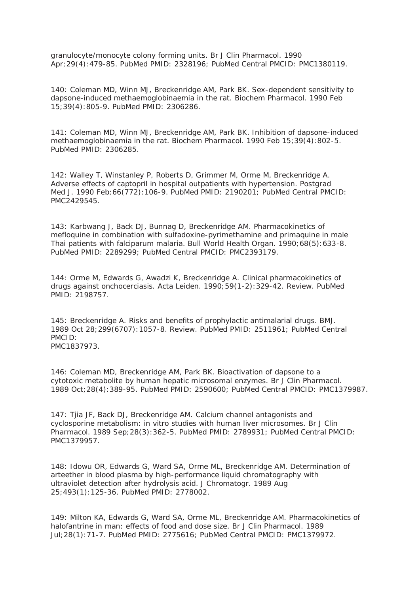granulocyte/monocyte colony forming units. Br J Clin Pharmacol. 1990 Apr;29(4):479-85. PubMed PMID: 2328196; PubMed Central PMCID: PMC1380119.

140: Coleman MD, Winn MJ, Breckenridge AM, Park BK. Sex-dependent sensitivity to dapsone-induced methaemoglobinaemia in the rat. Biochem Pharmacol. 1990 Feb 15;39(4):805-9. PubMed PMID: 2306286.

141: Coleman MD, Winn MJ, Breckenridge AM, Park BK. Inhibition of dapsone-induced methaemoglobinaemia in the rat. Biochem Pharmacol. 1990 Feb 15;39(4):802-5. PubMed PMID: 2306285.

142: Walley T, Winstanley P, Roberts D, Grimmer M, Orme M, Breckenridge A. Adverse effects of captopril in hospital outpatients with hypertension. Postgrad Med J. 1990 Feb;66(772):106-9. PubMed PMID: 2190201; PubMed Central PMCID: PMC2429545.

143: Karbwang J, Back DJ, Bunnag D, Breckenridge AM. Pharmacokinetics of mefloquine in combination with sulfadoxine-pyrimethamine and primaquine in male Thai patients with falciparum malaria. Bull World Health Organ. 1990;68(5):633-8. PubMed PMID: 2289299; PubMed Central PMCID: PMC2393179.

144: Orme M, Edwards G, Awadzi K, Breckenridge A. Clinical pharmacokinetics of drugs against onchocerciasis. Acta Leiden. 1990;59(1-2):329-42. Review. PubMed PMID: 2198757.

145: Breckenridge A. Risks and benefits of prophylactic antimalarial drugs. BMJ. 1989 Oct 28;299(6707):1057-8. Review. PubMed PMID: 2511961; PubMed Central PMCID: PMC1837973.

146: Coleman MD, Breckenridge AM, Park BK. Bioactivation of dapsone to a cytotoxic metabolite by human hepatic microsomal enzymes. Br J Clin Pharmacol. 1989 Oct;28(4):389-95. PubMed PMID: 2590600; PubMed Central PMCID: PMC1379987.

147: Tjia JF, Back DJ, Breckenridge AM. Calcium channel antagonists and cyclosporine metabolism: in vitro studies with human liver microsomes. Br J Clin Pharmacol. 1989 Sep;28(3):362-5. PubMed PMID: 2789931; PubMed Central PMCID: PMC1379957.

148: Idowu OR, Edwards G, Ward SA, Orme ML, Breckenridge AM. Determination of arteether in blood plasma by high-performance liquid chromatography with ultraviolet detection after hydrolysis acid. J Chromatogr. 1989 Aug 25;493(1):125-36. PubMed PMID: 2778002.

149: Milton KA, Edwards G, Ward SA, Orme ML, Breckenridge AM. Pharmacokinetics of halofantrine in man: effects of food and dose size. Br J Clin Pharmacol. 1989 Jul;28(1):71-7. PubMed PMID: 2775616; PubMed Central PMCID: PMC1379972.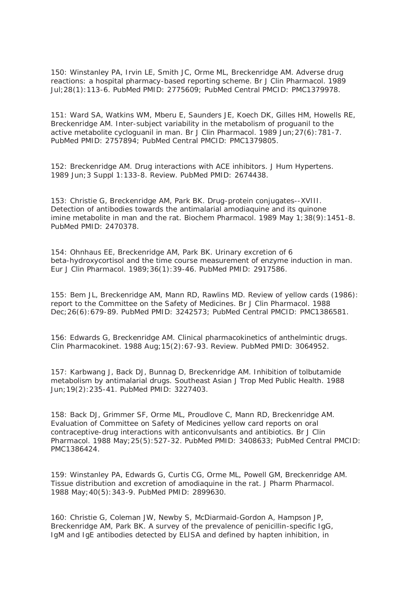150: Winstanley PA, Irvin LE, Smith JC, Orme ML, Breckenridge AM. Adverse drug reactions: a hospital pharmacy-based reporting scheme. Br J Clin Pharmacol. 1989 Jul;28(1):113-6. PubMed PMID: 2775609; PubMed Central PMCID: PMC1379978.

151: Ward SA, Watkins WM, Mberu E, Saunders JE, Koech DK, Gilles HM, Howells RE, Breckenridge AM. Inter-subject variability in the metabolism of proguanil to the active metabolite cycloguanil in man. Br J Clin Pharmacol. 1989 Jun;27(6):781-7. PubMed PMID: 2757894; PubMed Central PMCID: PMC1379805.

152: Breckenridge AM. Drug interactions with ACE inhibitors. J Hum Hypertens. 1989 Jun;3 Suppl 1:133-8. Review. PubMed PMID: 2674438.

153: Christie G, Breckenridge AM, Park BK. Drug-protein conjugates--XVIII. Detection of antibodies towards the antimalarial amodiaquine and its quinone imine metabolite in man and the rat. Biochem Pharmacol. 1989 May 1;38(9):1451-8. PubMed PMID: 2470378.

154: Ohnhaus EE, Breckenridge AM, Park BK. Urinary excretion of 6 beta-hydroxycortisol and the time course measurement of enzyme induction in man. Eur J Clin Pharmacol. 1989;36(1):39-46. PubMed PMID: 2917586.

155: Bem JL, Breckenridge AM, Mann RD, Rawlins MD. Review of yellow cards (1986): report to the Committee on the Safety of Medicines. Br J Clin Pharmacol. 1988 Dec;26(6):679-89. PubMed PMID: 3242573; PubMed Central PMCID: PMC1386581.

156: Edwards G, Breckenridge AM. Clinical pharmacokinetics of anthelmintic drugs. Clin Pharmacokinet. 1988 Aug;15(2):67-93. Review. PubMed PMID: 3064952.

157: Karbwang J, Back DJ, Bunnag D, Breckenridge AM. Inhibition of tolbutamide metabolism by antimalarial drugs. Southeast Asian J Trop Med Public Health. 1988 Jun;19(2):235-41. PubMed PMID: 3227403.

158: Back DJ, Grimmer SF, Orme ML, Proudlove C, Mann RD, Breckenridge AM. Evaluation of Committee on Safety of Medicines yellow card reports on oral contraceptive-drug interactions with anticonvulsants and antibiotics. Br J Clin Pharmacol. 1988 May;25(5):527-32. PubMed PMID: 3408633; PubMed Central PMCID: PMC1386424.

159: Winstanley PA, Edwards G, Curtis CG, Orme ML, Powell GM, Breckenridge AM. Tissue distribution and excretion of amodiaquine in the rat. J Pharm Pharmacol. 1988 May;40(5):343-9. PubMed PMID: 2899630.

160: Christie G, Coleman JW, Newby S, McDiarmaid-Gordon A, Hampson JP, Breckenridge AM, Park BK. A survey of the prevalence of penicillin-specific IgG, IgM and IgE antibodies detected by ELISA and defined by hapten inhibition, in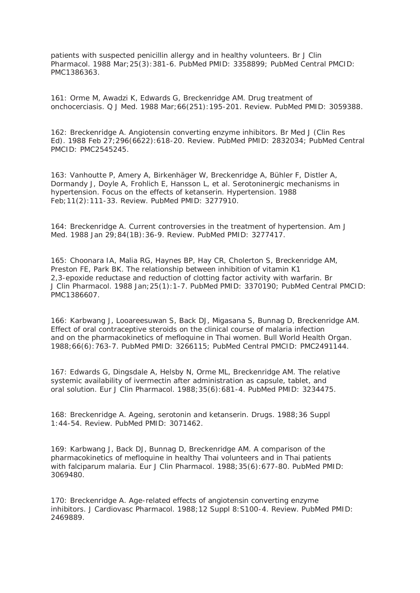patients with suspected penicillin allergy and in healthy volunteers. Br J Clin Pharmacol. 1988 Mar;25(3):381-6. PubMed PMID: 3358899; PubMed Central PMCID: PMC1386363.

161: Orme M, Awadzi K, Edwards G, Breckenridge AM. Drug treatment of onchocerciasis. Q J Med. 1988 Mar;66(251):195-201. Review. PubMed PMID: 3059388.

162: Breckenridge A. Angiotensin converting enzyme inhibitors. Br Med J (Clin Res Ed). 1988 Feb 27;296(6622):618-20. Review. PubMed PMID: 2832034; PubMed Central PMCID: PMC2545245.

163: Vanhoutte P, Amery A, Birkenhäger W, Breckenridge A, Bühler F, Distler A, Dormandy J, Doyle A, Frohlich E, Hansson L, et al. Serotoninergic mechanisms in hypertension. Focus on the effects of ketanserin. Hypertension. 1988 Feb;11(2):111-33. Review. PubMed PMID: 3277910.

164: Breckenridge A. Current controversies in the treatment of hypertension. Am J Med. 1988 Jan 29;84(1B):36-9. Review. PubMed PMID: 3277417.

165: Choonara IA, Malia RG, Haynes BP, Hay CR, Cholerton S, Breckenridge AM, Preston FE, Park BK. The relationship between inhibition of vitamin K1 2,3-epoxide reductase and reduction of clotting factor activity with warfarin. Br J Clin Pharmacol. 1988 Jan;25(1):1-7. PubMed PMID: 3370190; PubMed Central PMCID: PMC1386607.

166: Karbwang J, Looareesuwan S, Back DJ, Migasana S, Bunnag D, Breckenridge AM. Effect of oral contraceptive steroids on the clinical course of malaria infection and on the pharmacokinetics of mefloquine in Thai women. Bull World Health Organ. 1988;66(6):763-7. PubMed PMID: 3266115; PubMed Central PMCID: PMC2491144.

167: Edwards G, Dingsdale A, Helsby N, Orme ML, Breckenridge AM. The relative systemic availability of ivermectin after administration as capsule, tablet, and oral solution. Eur J Clin Pharmacol. 1988;35(6):681-4. PubMed PMID: 3234475.

168: Breckenridge A. Ageing, serotonin and ketanserin. Drugs. 1988;36 Suppl 1:44-54. Review. PubMed PMID: 3071462.

169: Karbwang J, Back DJ, Bunnag D, Breckenridge AM. A comparison of the pharmacokinetics of mefloquine in healthy Thai volunteers and in Thai patients with falciparum malaria. Eur J Clin Pharmacol. 1988; 35(6): 677-80. PubMed PMID: 3069480.

170: Breckenridge A. Age-related effects of angiotensin converting enzyme inhibitors. J Cardiovasc Pharmacol. 1988;12 Suppl 8:S100-4. Review. PubMed PMID: 2469889.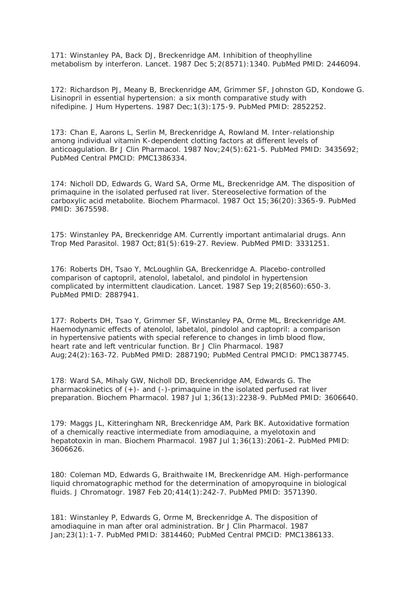171: Winstanley PA, Back DJ, Breckenridge AM. Inhibition of theophylline metabolism by interferon. Lancet. 1987 Dec 5;2(8571):1340. PubMed PMID: 2446094.

172: Richardson PJ, Meany B, Breckenridge AM, Grimmer SF, Johnston GD, Kondowe G. Lisinopril in essential hypertension: a six month comparative study with nifedipine. J Hum Hypertens. 1987 Dec;1(3):175-9. PubMed PMID: 2852252.

173: Chan E, Aarons L, Serlin M, Breckenridge A, Rowland M. Inter-relationship among individual vitamin K-dependent clotting factors at different levels of anticoagulation. Br J Clin Pharmacol. 1987 Nov;24(5):621-5. PubMed PMID: 3435692; PubMed Central PMCID: PMC1386334.

174: Nicholl DD, Edwards G, Ward SA, Orme ML, Breckenridge AM. The disposition of primaquine in the isolated perfused rat liver. Stereoselective formation of the carboxylic acid metabolite. Biochem Pharmacol. 1987 Oct 15;36(20):3365-9. PubMed PMID: 3675598.

175: Winstanley PA, Breckenridge AM. Currently important antimalarial drugs. Ann Trop Med Parasitol. 1987 Oct;81(5):619-27. Review. PubMed PMID: 3331251.

176: Roberts DH, Tsao Y, McLoughlin GA, Breckenridge A. Placebo-controlled comparison of captopril, atenolol, labetalol, and pindolol in hypertension complicated by intermittent claudication. Lancet. 1987 Sep 19;2(8560):650-3. PubMed PMID: 2887941.

177: Roberts DH, Tsao Y, Grimmer SF, Winstanley PA, Orme ML, Breckenridge AM. Haemodynamic effects of atenolol, labetalol, pindolol and captopril: a comparison in hypertensive patients with special reference to changes in limb blood flow, heart rate and left ventricular function. Br J Clin Pharmacol. 1987 Aug;24(2):163-72. PubMed PMID: 2887190; PubMed Central PMCID: PMC1387745.

178: Ward SA, Mihaly GW, Nicholl DD, Breckenridge AM, Edwards G. The pharmacokinetics of  $(+)$ - and  $(-)$ -primaguine in the isolated perfused rat liver preparation. Biochem Pharmacol. 1987 Jul 1;36(13):2238-9. PubMed PMID: 3606640.

179: Maggs JL, Kitteringham NR, Breckenridge AM, Park BK. Autoxidative formation of a chemically reactive intermediate from amodiaquine, a myelotoxin and hepatotoxin in man. Biochem Pharmacol. 1987 Jul 1;36(13):2061-2. PubMed PMID: 3606626.

180: Coleman MD, Edwards G, Braithwaite IM, Breckenridge AM. High-performance liquid chromatographic method for the determination of amopyroquine in biological fluids. J Chromatogr. 1987 Feb 20;414(1):242-7. PubMed PMID: 3571390.

181: Winstanley P, Edwards G, Orme M, Breckenridge A. The disposition of amodiaquine in man after oral administration. Br J Clin Pharmacol. 1987 Jan;23(1):1-7. PubMed PMID: 3814460; PubMed Central PMCID: PMC1386133.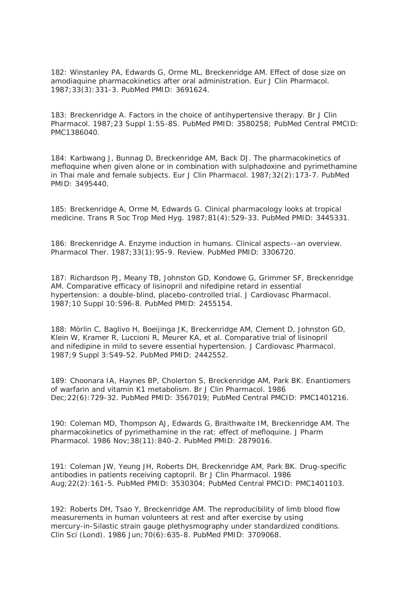182: Winstanley PA, Edwards G, Orme ML, Breckenridge AM. Effect of dose size on amodiaquine pharmacokinetics after oral administration. Eur J Clin Pharmacol. 1987;33(3):331-3. PubMed PMID: 3691624.

183: Breckenridge A. Factors in the choice of antihypertensive therapy. Br J Clin Pharmacol. 1987;23 Suppl 1:5S-8S. PubMed PMID: 3580258; PubMed Central PMCID: PMC1386040.

184: Karbwang J, Bunnag D, Breckenridge AM, Back DJ. The pharmacokinetics of mefloquine when given alone or in combination with sulphadoxine and pyrimethamine in Thai male and female subjects. Eur J Clin Pharmacol. 1987;32(2):173-7. PubMed PMID: 3495440.

185: Breckenridge A, Orme M, Edwards G. Clinical pharmacology looks at tropical medicine. Trans R Soc Trop Med Hyg. 1987;81(4):529-33. PubMed PMID: 3445331.

186: Breckenridge A. Enzyme induction in humans. Clinical aspects--an overview. Pharmacol Ther. 1987;33(1):95-9. Review. PubMed PMID: 3306720.

187: Richardson PJ, Meany TB, Johnston GD, Kondowe G, Grimmer SF, Breckenridge AM. Comparative efficacy of lisinopril and nifedipine retard in essential hypertension: a double-blind, placebo-controlled trial. J Cardiovasc Pharmacol. 1987;10 Suppl 10:S96-8. PubMed PMID: 2455154.

188: Mörlin C, Baglivo H, Boeijinga JK, Breckenridge AM, Clement D, Johnston GD, Klein W, Kramer R, Luccioni R, Meurer KA, et al. Comparative trial of lisinopril and nifedipine in mild to severe essential hypertension. J Cardiovasc Pharmacol. 1987;9 Suppl 3:S49-52. PubMed PMID: 2442552.

189: Choonara IA, Haynes BP, Cholerton S, Breckenridge AM, Park BK. Enantiomers of warfarin and vitamin K1 metabolism. Br J Clin Pharmacol. 1986 Dec;22(6):729-32. PubMed PMID: 3567019; PubMed Central PMCID: PMC1401216.

190: Coleman MD, Thompson AJ, Edwards G, Braithwaite IM, Breckenridge AM. The pharmacokinetics of pyrimethamine in the rat: effect of mefloquine. J Pharm Pharmacol. 1986 Nov;38(11):840-2. PubMed PMID: 2879016.

191: Coleman JW, Yeung JH, Roberts DH, Breckenridge AM, Park BK. Drug-specific antibodies in patients receiving captopril. Br J Clin Pharmacol. 1986 Aug;22(2):161-5. PubMed PMID: 3530304; PubMed Central PMCID: PMC1401103.

192: Roberts DH, Tsao Y, Breckenridge AM. The reproducibility of limb blood flow measurements in human volunteers at rest and after exercise by using mercury-in-Silastic strain gauge plethysmography under standardized conditions. Clin Sci (Lond). 1986 Jun;70(6):635-8. PubMed PMID: 3709068.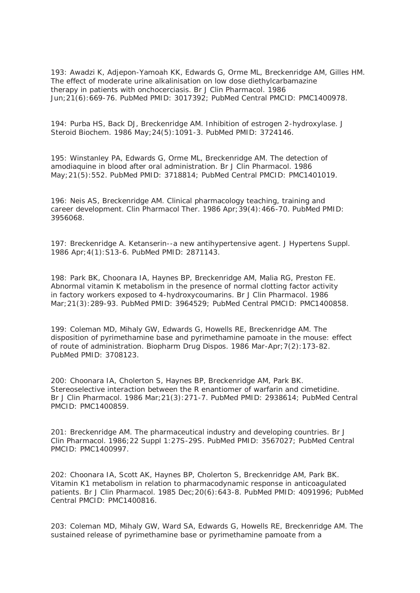193: Awadzi K, Adjepon-Yamoah KK, Edwards G, Orme ML, Breckenridge AM, Gilles HM. The effect of moderate urine alkalinisation on low dose diethylcarbamazine therapy in patients with onchocerciasis. Br J Clin Pharmacol. 1986 Jun;21(6):669-76. PubMed PMID: 3017392; PubMed Central PMCID: PMC1400978.

194: Purba HS, Back DJ, Breckenridge AM. Inhibition of estrogen 2-hydroxylase. J Steroid Biochem. 1986 May;24(5):1091-3. PubMed PMID: 3724146.

195: Winstanley PA, Edwards G, Orme ML, Breckenridge AM. The detection of amodiaquine in blood after oral administration. Br J Clin Pharmacol. 1986 May;21(5):552. PubMed PMID: 3718814; PubMed Central PMCID: PMC1401019.

196: Neis AS, Breckenridge AM. Clinical pharmacology teaching, training and career development. Clin Pharmacol Ther. 1986 Apr;39(4):466-70. PubMed PMID: 3956068.

197: Breckenridge A. Ketanserin--a new antihypertensive agent. J Hypertens Suppl. 1986 Apr;4(1):S13-6. PubMed PMID: 2871143.

198: Park BK, Choonara IA, Haynes BP, Breckenridge AM, Malia RG, Preston FE. Abnormal vitamin K metabolism in the presence of normal clotting factor activity in factory workers exposed to 4-hydroxycoumarins. Br J Clin Pharmacol. 1986 Mar;21(3):289-93. PubMed PMID: 3964529; PubMed Central PMCID: PMC1400858.

199: Coleman MD, Mihaly GW, Edwards G, Howells RE, Breckenridge AM. The disposition of pyrimethamine base and pyrimethamine pamoate in the mouse: effect of route of administration. Biopharm Drug Dispos. 1986 Mar-Apr;7(2):173-82. PubMed PMID: 3708123.

200: Choonara IA, Cholerton S, Haynes BP, Breckenridge AM, Park BK. Stereoselective interaction between the R enantiomer of warfarin and cimetidine. Br J Clin Pharmacol. 1986 Mar;21(3):271-7. PubMed PMID: 2938614; PubMed Central PMCID: PMC1400859.

201: Breckenridge AM. The pharmaceutical industry and developing countries. Br J Clin Pharmacol. 1986;22 Suppl 1:27S-29S. PubMed PMID: 3567027; PubMed Central PMCID: PMC1400997.

202: Choonara IA, Scott AK, Haynes BP, Cholerton S, Breckenridge AM, Park BK. Vitamin K1 metabolism in relation to pharmacodynamic response in anticoagulated patients. Br J Clin Pharmacol. 1985 Dec;20(6):643-8. PubMed PMID: 4091996; PubMed Central PMCID: PMC1400816.

203: Coleman MD, Mihaly GW, Ward SA, Edwards G, Howells RE, Breckenridge AM. The sustained release of pyrimethamine base or pyrimethamine pamoate from a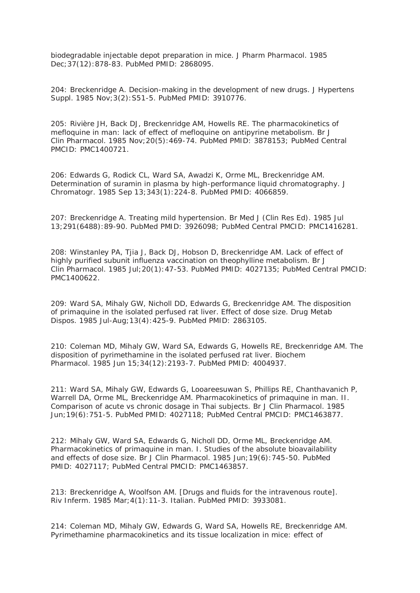biodegradable injectable depot preparation in mice. J Pharm Pharmacol. 1985 Dec;37(12):878-83. PubMed PMID: 2868095.

204: Breckenridge A. Decision-making in the development of new drugs. J Hypertens Suppl. 1985 Nov;3(2):S51-5. PubMed PMID: 3910776.

205: Rivière JH, Back DJ, Breckenridge AM, Howells RE. The pharmacokinetics of mefloquine in man: lack of effect of mefloquine on antipyrine metabolism. Br J Clin Pharmacol. 1985 Nov;20(5):469-74. PubMed PMID: 3878153; PubMed Central PMCID: PMC1400721.

206: Edwards G, Rodick CL, Ward SA, Awadzi K, Orme ML, Breckenridge AM. Determination of suramin in plasma by high-performance liquid chromatography. J Chromatogr. 1985 Sep 13;343(1):224-8. PubMed PMID: 4066859.

207: Breckenridge A. Treating mild hypertension. Br Med J (Clin Res Ed). 1985 Jul 13;291(6488):89-90. PubMed PMID: 3926098; PubMed Central PMCID: PMC1416281.

208: Winstanley PA, Tjia J, Back DJ, Hobson D, Breckenridge AM. Lack of effect of highly purified subunit influenza vaccination on theophylline metabolism. Br J Clin Pharmacol. 1985 Jul;20(1):47-53. PubMed PMID: 4027135; PubMed Central PMCID: PMC1400622.

209: Ward SA, Mihaly GW, Nicholl DD, Edwards G, Breckenridge AM. The disposition of primaquine in the isolated perfused rat liver. Effect of dose size. Drug Metab Dispos. 1985 Jul-Aug;13(4):425-9. PubMed PMID: 2863105.

210: Coleman MD, Mihaly GW, Ward SA, Edwards G, Howells RE, Breckenridge AM. The disposition of pyrimethamine in the isolated perfused rat liver. Biochem Pharmacol. 1985 Jun 15;34(12):2193-7. PubMed PMID: 4004937.

211: Ward SA, Mihaly GW, Edwards G, Looareesuwan S, Phillips RE, Chanthavanich P, Warrell DA, Orme ML, Breckenridge AM. Pharmacokinetics of primaquine in man. II. Comparison of acute vs chronic dosage in Thai subjects. Br J Clin Pharmacol. 1985 Jun;19(6):751-5. PubMed PMID: 4027118; PubMed Central PMCID: PMC1463877.

212: Mihaly GW, Ward SA, Edwards G, Nicholl DD, Orme ML, Breckenridge AM. Pharmacokinetics of primaquine in man. I. Studies of the absolute bioavailability and effects of dose size. Br J Clin Pharmacol. 1985 Jun;19(6):745-50. PubMed PMID: 4027117; PubMed Central PMCID: PMC1463857.

213: Breckenridge A, Woolfson AM. [Drugs and fluids for the intravenous route]. Riv Inferm. 1985 Mar;4(1):11-3. Italian. PubMed PMID: 3933081.

214: Coleman MD, Mihaly GW, Edwards G, Ward SA, Howells RE, Breckenridge AM. Pyrimethamine pharmacokinetics and its tissue localization in mice: effect of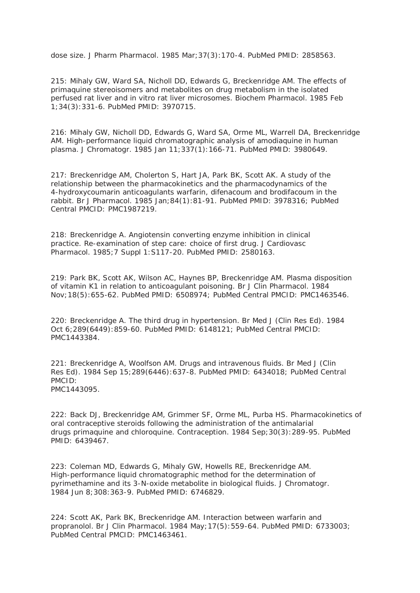dose size. J Pharm Pharmacol. 1985 Mar;37(3):170-4. PubMed PMID: 2858563.

215: Mihaly GW, Ward SA, Nicholl DD, Edwards G, Breckenridge AM. The effects of primaquine stereoisomers and metabolites on drug metabolism in the isolated perfused rat liver and in vitro rat liver microsomes. Biochem Pharmacol. 1985 Feb 1;34(3):331-6. PubMed PMID: 3970715.

216: Mihaly GW, Nicholl DD, Edwards G, Ward SA, Orme ML, Warrell DA, Breckenridge AM. High-performance liquid chromatographic analysis of amodiaquine in human plasma. J Chromatogr. 1985 Jan 11;337(1):166-71. PubMed PMID: 3980649.

217: Breckenridge AM, Cholerton S, Hart JA, Park BK, Scott AK. A study of the relationship between the pharmacokinetics and the pharmacodynamics of the 4-hydroxycoumarin anticoagulants warfarin, difenacoum and brodifacoum in the rabbit. Br J Pharmacol. 1985 Jan;84(1):81-91. PubMed PMID: 3978316; PubMed Central PMCID: PMC1987219.

218: Breckenridge A. Angiotensin converting enzyme inhibition in clinical practice. Re-examination of step care: choice of first drug. J Cardiovasc Pharmacol. 1985;7 Suppl 1:S117-20. PubMed PMID: 2580163.

219: Park BK, Scott AK, Wilson AC, Haynes BP, Breckenridge AM. Plasma disposition of vitamin K1 in relation to anticoagulant poisoning. Br J Clin Pharmacol. 1984 Nov;18(5):655-62. PubMed PMID: 6508974; PubMed Central PMCID: PMC1463546.

220: Breckenridge A. The third drug in hypertension. Br Med J (Clin Res Ed). 1984 Oct 6;289(6449):859-60. PubMed PMID: 6148121; PubMed Central PMCID: PMC1443384.

221: Breckenridge A, Woolfson AM. Drugs and intravenous fluids. Br Med J (Clin Res Ed). 1984 Sep 15;289(6446):637-8. PubMed PMID: 6434018; PubMed Central PMCID: PMC1443095.

222: Back DJ, Breckenridge AM, Grimmer SF, Orme ML, Purba HS. Pharmacokinetics of oral contraceptive steroids following the administration of the antimalarial drugs primaquine and chloroquine. Contraception. 1984 Sep;30(3):289-95. PubMed PMID: 6439467.

223: Coleman MD, Edwards G, Mihaly GW, Howells RE, Breckenridge AM. High-performance liquid chromatographic method for the determination of pyrimethamine and its 3-N-oxide metabolite in biological fluids. J Chromatogr. 1984 Jun 8;308:363-9. PubMed PMID: 6746829.

224: Scott AK, Park BK, Breckenridge AM. Interaction between warfarin and propranolol. Br J Clin Pharmacol. 1984 May;17(5):559-64. PubMed PMID: 6733003; PubMed Central PMCID: PMC1463461.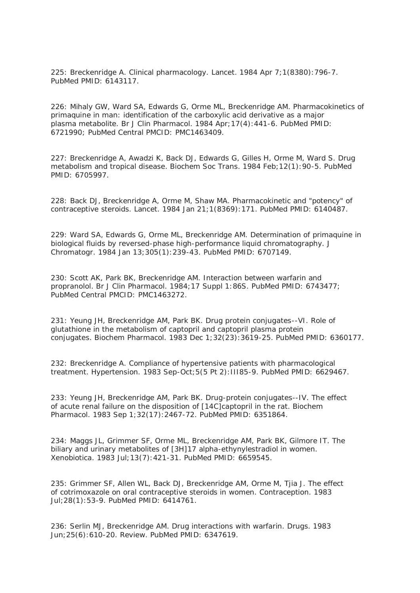225: Breckenridge A. Clinical pharmacology. Lancet. 1984 Apr 7;1(8380):796-7. PubMed PMID: 6143117.

226: Mihaly GW, Ward SA, Edwards G, Orme ML, Breckenridge AM. Pharmacokinetics of primaquine in man: identification of the carboxylic acid derivative as a major plasma metabolite. Br J Clin Pharmacol. 1984 Apr;17(4):441-6. PubMed PMID: 6721990; PubMed Central PMCID: PMC1463409.

227: Breckenridge A, Awadzi K, Back DJ, Edwards G, Gilles H, Orme M, Ward S. Drug metabolism and tropical disease. Biochem Soc Trans. 1984 Feb;12(1):90-5. PubMed PMID: 6705997.

228: Back DJ, Breckenridge A, Orme M, Shaw MA. Pharmacokinetic and "potency" of contraceptive steroids. Lancet. 1984 Jan 21;1(8369):171. PubMed PMID: 6140487.

229: Ward SA, Edwards G, Orme ML, Breckenridge AM. Determination of primaquine in biological fluids by reversed-phase high-performance liquid chromatography. J Chromatogr. 1984 Jan 13;305(1):239-43. PubMed PMID: 6707149.

230: Scott AK, Park BK, Breckenridge AM. Interaction between warfarin and propranolol. Br J Clin Pharmacol. 1984;17 Suppl 1:86S. PubMed PMID: 6743477; PubMed Central PMCID: PMC1463272.

231: Yeung JH, Breckenridge AM, Park BK. Drug protein conjugates--VI. Role of glutathione in the metabolism of captopril and captopril plasma protein conjugates. Biochem Pharmacol. 1983 Dec 1;32(23):3619-25. PubMed PMID: 6360177.

232: Breckenridge A. Compliance of hypertensive patients with pharmacological treatment. Hypertension. 1983 Sep-Oct;5(5 Pt 2):III85-9. PubMed PMID: 6629467.

233: Yeung JH, Breckenridge AM, Park BK. Drug-protein conjugates--IV. The effect of acute renal failure on the disposition of [14C]captopril in the rat. Biochem Pharmacol. 1983 Sep 1;32(17):2467-72. PubMed PMID: 6351864.

234: Maggs JL, Grimmer SF, Orme ML, Breckenridge AM, Park BK, Gilmore IT. The biliary and urinary metabolites of [3H]17 alpha-ethynylestradiol in women. Xenobiotica. 1983 Jul;13(7):421-31. PubMed PMID: 6659545.

235: Grimmer SF, Allen WL, Back DJ, Breckenridge AM, Orme M, Tjia J. The effect of cotrimoxazole on oral contraceptive steroids in women. Contraception. 1983 Jul;28(1):53-9. PubMed PMID: 6414761.

236: Serlin MJ, Breckenridge AM. Drug interactions with warfarin. Drugs. 1983 Jun;25(6):610-20. Review. PubMed PMID: 6347619.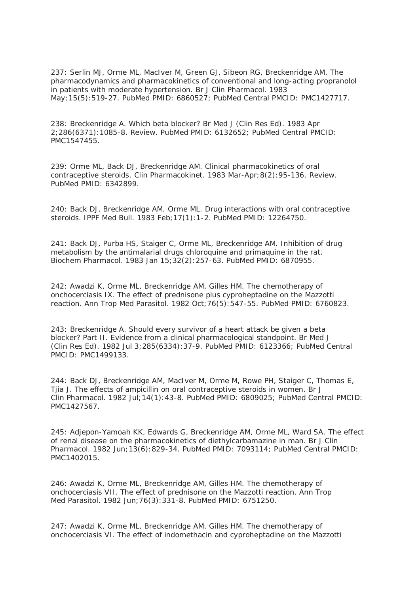237: Serlin MJ, Orme ML, MacIver M, Green GJ, Sibeon RG, Breckenridge AM. The pharmacodynamics and pharmacokinetics of conventional and long-acting propranolol in patients with moderate hypertension. Br J Clin Pharmacol. 1983 May;15(5):519-27. PubMed PMID: 6860527; PubMed Central PMCID: PMC1427717.

238: Breckenridge A. Which beta blocker? Br Med J (Clin Res Ed). 1983 Apr 2;286(6371):1085-8. Review. PubMed PMID: 6132652; PubMed Central PMCID: PMC1547455.

239: Orme ML, Back DJ, Breckenridge AM. Clinical pharmacokinetics of oral contraceptive steroids. Clin Pharmacokinet. 1983 Mar-Apr;8(2):95-136. Review. PubMed PMID: 6342899.

240: Back DJ, Breckenridge AM, Orme ML. Drug interactions with oral contraceptive steroids. IPPF Med Bull. 1983 Feb;17(1):1-2. PubMed PMID: 12264750.

241: Back DJ, Purba HS, Staiger C, Orme ML, Breckenridge AM. Inhibition of drug metabolism by the antimalarial drugs chloroquine and primaquine in the rat. Biochem Pharmacol. 1983 Jan 15;32(2):257-63. PubMed PMID: 6870955.

242: Awadzi K, Orme ML, Breckenridge AM, Gilles HM. The chemotherapy of onchocerciasis IX. The effect of prednisone plus cyproheptadine on the Mazzotti reaction. Ann Trop Med Parasitol. 1982 Oct;76(5):547-55. PubMed PMID: 6760823.

243: Breckenridge A. Should every survivor of a heart attack be given a beta blocker? Part II. Evidence from a clinical pharmacological standpoint. Br Med J (Clin Res Ed). 1982 Jul 3;285(6334):37-9. PubMed PMID: 6123366; PubMed Central PMCID: PMC1499133.

244: Back DJ, Breckenridge AM, MacIver M, Orme M, Rowe PH, Staiger C, Thomas E, Tjia J. The effects of ampicillin on oral contraceptive steroids in women. Br J Clin Pharmacol. 1982 Jul;14(1):43-8. PubMed PMID: 6809025; PubMed Central PMCID: PMC1427567.

245: Adjepon-Yamoah KK, Edwards G, Breckenridge AM, Orme ML, Ward SA. The effect of renal disease on the pharmacokinetics of diethylcarbamazine in man. Br J Clin Pharmacol. 1982 Jun;13(6):829-34. PubMed PMID: 7093114; PubMed Central PMCID: PMC1402015.

246: Awadzi K, Orme ML, Breckenridge AM, Gilles HM. The chemotherapy of onchocerciasis VII. The effect of prednisone on the Mazzotti reaction. Ann Trop Med Parasitol. 1982 Jun;76(3):331-8. PubMed PMID: 6751250.

247: Awadzi K, Orme ML, Breckenridge AM, Gilles HM. The chemotherapy of onchocerciasis VI. The effect of indomethacin and cyproheptadine on the Mazzotti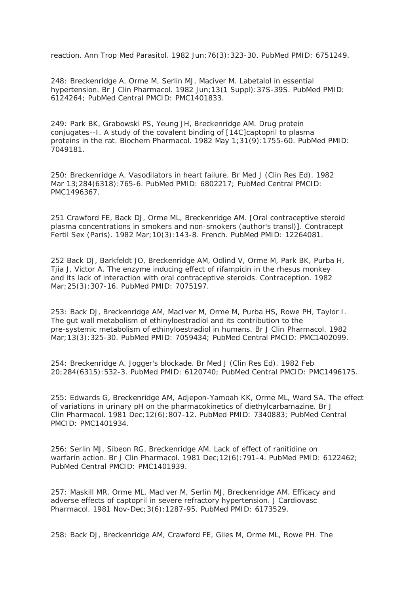reaction. Ann Trop Med Parasitol. 1982 Jun;76(3):323-30. PubMed PMID: 6751249.

248: Breckenridge A, Orme M, Serlin MJ, Maciver M. Labetalol in essential hypertension. Br J Clin Pharmacol. 1982 Jun;13(1 Suppl):37S-39S. PubMed PMID: 6124264; PubMed Central PMCID: PMC1401833.

249: Park BK, Grabowski PS, Yeung JH, Breckenridge AM. Drug protein conjugates--I. A study of the covalent binding of [14C]captopril to plasma proteins in the rat. Biochem Pharmacol. 1982 May 1;31(9):1755-60. PubMed PMID: 7049181.

250: Breckenridge A. Vasodilators in heart failure. Br Med J (Clin Res Ed). 1982 Mar 13;284(6318):765-6. PubMed PMID: 6802217; PubMed Central PMCID: PMC1496367.

251 Crawford FE, Back DJ, Orme ML, Breckenridge AM. [Oral contraceptive steroid plasma concentrations in smokers and non-smokers (author's transl)]. Contracept Fertil Sex (Paris). 1982 Mar;10(3):143-8. French. PubMed PMID: 12264081.

252 Back DJ, Barkfeldt JO, Breckenridge AM, Odlind V, Orme M, Park BK, Purba H, Tjia J, Victor A. The enzyme inducing effect of rifampicin in the rhesus monkey and its lack of interaction with oral contraceptive steroids. Contraception. 1982 Mar;25(3):307-16. PubMed PMID: 7075197.

253: Back DJ, Breckenridge AM, MacIver M, Orme M, Purba HS, Rowe PH, Taylor I. The gut wall metabolism of ethinyloestradiol and its contribution to the pre-systemic metabolism of ethinyloestradiol in humans. Br J Clin Pharmacol. 1982 Mar;13(3):325-30. PubMed PMID: 7059434; PubMed Central PMCID: PMC1402099.

254: Breckenridge A. Jogger's blockade. Br Med J (Clin Res Ed). 1982 Feb 20;284(6315):532-3. PubMed PMID: 6120740; PubMed Central PMCID: PMC1496175.

255: Edwards G, Breckenridge AM, Adjepon-Yamoah KK, Orme ML, Ward SA. The effect of variations in urinary pH on the pharmacokinetics of diethylcarbamazine. Br J Clin Pharmacol. 1981 Dec;12(6):807-12. PubMed PMID: 7340883; PubMed Central PMCID: PMC1401934.

256: Serlin MJ, Sibeon RG, Breckenridge AM. Lack of effect of ranitidine on warfarin action. Br J Clin Pharmacol. 1981 Dec;12(6):791-4. PubMed PMID: 6122462; PubMed Central PMCID: PMC1401939.

257: Maskill MR, Orme ML, MacIver M, Serlin MJ, Breckenridge AM. Efficacy and adverse effects of captopril in severe refractory hypertension. J Cardiovasc Pharmacol. 1981 Nov-Dec;3(6):1287-95. PubMed PMID: 6173529.

258: Back DJ, Breckenridge AM, Crawford FE, Giles M, Orme ML, Rowe PH. The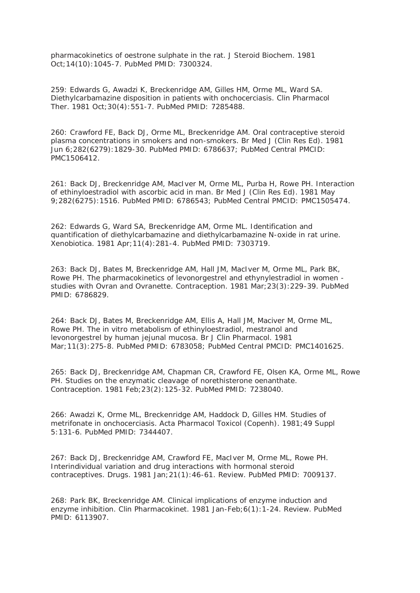pharmacokinetics of oestrone sulphate in the rat. J Steroid Biochem. 1981 Oct;14(10):1045-7. PubMed PMID: 7300324.

259: Edwards G, Awadzi K, Breckenridge AM, Gilles HM, Orme ML, Ward SA. Diethylcarbamazine disposition in patients with onchocerciasis. Clin Pharmacol Ther. 1981 Oct;30(4):551-7. PubMed PMID: 7285488.

260: Crawford FE, Back DJ, Orme ML, Breckenridge AM. Oral contraceptive steroid plasma concentrations in smokers and non-smokers. Br Med J (Clin Res Ed). 1981 Jun 6;282(6279):1829-30. PubMed PMID: 6786637; PubMed Central PMCID: PMC1506412.

261: Back DJ, Breckenridge AM, MacIver M, Orme ML, Purba H, Rowe PH. Interaction of ethinyloestradiol with ascorbic acid in man. Br Med J (Clin Res Ed). 1981 May 9;282(6275):1516. PubMed PMID: 6786543; PubMed Central PMCID: PMC1505474.

262: Edwards G, Ward SA, Breckenridge AM, Orme ML. Identification and quantification of diethylcarbamazine and diethylcarbamazine N-oxide in rat urine. Xenobiotica. 1981 Apr;11(4):281-4. PubMed PMID: 7303719.

263: Back DJ, Bates M, Breckenridge AM, Hall JM, MacIver M, Orme ML, Park BK, Rowe PH. The pharmacokinetics of levonorgestrel and ethynylestradiol in women studies with Ovran and Ovranette. Contraception. 1981 Mar;23(3):229-39. PubMed PMID: 6786829.

264: Back DJ, Bates M, Breckenridge AM, Ellis A, Hall JM, Maciver M, Orme ML, Rowe PH. The in vitro metabolism of ethinyloestradiol, mestranol and levonorgestrel by human jejunal mucosa. Br J Clin Pharmacol. 1981 Mar;11(3):275-8. PubMed PMID: 6783058; PubMed Central PMCID: PMC1401625.

265: Back DJ, Breckenridge AM, Chapman CR, Crawford FE, Olsen KA, Orme ML, Rowe PH. Studies on the enzymatic cleavage of norethisterone oenanthate. Contraception. 1981 Feb;23(2):125-32. PubMed PMID: 7238040.

266: Awadzi K, Orme ML, Breckenridge AM, Haddock D, Gilles HM. Studies of metrifonate in onchocerciasis. Acta Pharmacol Toxicol (Copenh). 1981;49 Suppl 5:131-6. PubMed PMID: 7344407.

267: Back DJ, Breckenridge AM, Crawford FE, MacIver M, Orme ML, Rowe PH. Interindividual variation and drug interactions with hormonal steroid contraceptives. Drugs. 1981 Jan;21(1):46-61. Review. PubMed PMID: 7009137.

268: Park BK, Breckenridge AM. Clinical implications of enzyme induction and enzyme inhibition. Clin Pharmacokinet. 1981 Jan-Feb; 6(1): 1-24. Review. PubMed PMID: 6113907.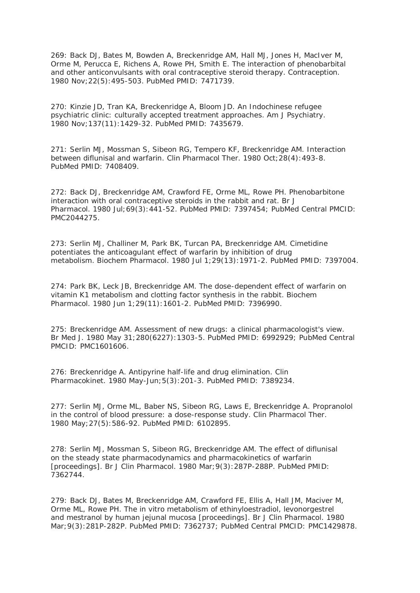269: Back DJ, Bates M, Bowden A, Breckenridge AM, Hall MJ, Jones H, MacIver M, Orme M, Perucca E, Richens A, Rowe PH, Smith E. The interaction of phenobarbital and other anticonvulsants with oral contraceptive steroid therapy. Contraception. 1980 Nov;22(5):495-503. PubMed PMID: 7471739.

270: Kinzie JD, Tran KA, Breckenridge A, Bloom JD. An Indochinese refugee psychiatric clinic: culturally accepted treatment approaches. Am J Psychiatry. 1980 Nov;137(11):1429-32. PubMed PMID: 7435679.

271: Serlin MJ, Mossman S, Sibeon RG, Tempero KF, Breckenridge AM. Interaction between diflunisal and warfarin. Clin Pharmacol Ther. 1980 Oct;28(4):493-8. PubMed PMID: 7408409.

272: Back DJ, Breckenridge AM, Crawford FE, Orme ML, Rowe PH. Phenobarbitone interaction with oral contraceptive steroids in the rabbit and rat. Br J Pharmacol. 1980 Jul;69(3):441-52. PubMed PMID: 7397454; PubMed Central PMCID: PMC2044275.

273: Serlin MJ, Challiner M, Park BK, Turcan PA, Breckenridge AM. Cimetidine potentiates the anticoagulant effect of warfarin by inhibition of drug metabolism. Biochem Pharmacol. 1980 Jul 1;29(13):1971-2. PubMed PMID: 7397004.

274: Park BK, Leck JB, Breckenridge AM. The dose-dependent effect of warfarin on vitamin K1 metabolism and clotting factor synthesis in the rabbit. Biochem Pharmacol. 1980 Jun 1;29(11):1601-2. PubMed PMID: 7396990.

275: Breckenridge AM. Assessment of new drugs: a clinical pharmacologist's view. Br Med J. 1980 May 31;280(6227):1303-5. PubMed PMID: 6992929; PubMed Central PMCID: PMC1601606.

276: Breckenridge A. Antipyrine half-life and drug elimination. Clin Pharmacokinet. 1980 May-Jun;5(3):201-3. PubMed PMID: 7389234.

277: Serlin MJ, Orme ML, Baber NS, Sibeon RG, Laws E, Breckenridge A. Propranolol in the control of blood pressure: a dose-response study. Clin Pharmacol Ther. 1980 May;27(5):586-92. PubMed PMID: 6102895.

278: Serlin MJ, Mossman S, Sibeon RG, Breckenridge AM. The effect of diflunisal on the steady state pharmacodynamics and pharmacokinetics of warfarin [proceedings]. Br J Clin Pharmacol. 1980 Mar; 9(3): 287P-288P. PubMed PMID: 7362744.

279: Back DJ, Bates M, Breckenridge AM, Crawford FE, Ellis A, Hall JM, Maciver M, Orme ML, Rowe PH. The in vitro metabolism of ethinyloestradiol, levonorgestrel and mestranol by human jejunal mucosa [proceedings]. Br J Clin Pharmacol. 1980 Mar;9(3):281P-282P. PubMed PMID: 7362737; PubMed Central PMCID: PMC1429878.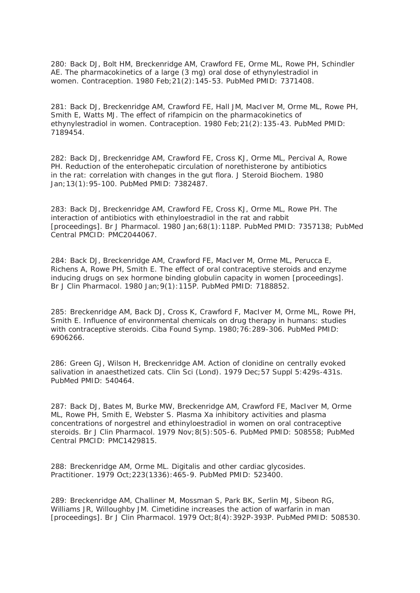280: Back DJ, Bolt HM, Breckenridge AM, Crawford FE, Orme ML, Rowe PH, Schindler AE. The pharmacokinetics of a large (3 mg) oral dose of ethynylestradiol in women. Contraception. 1980 Feb;21(2):145-53. PubMed PMID: 7371408.

281: Back DJ, Breckenridge AM, Crawford FE, Hall JM, MacIver M, Orme ML, Rowe PH, Smith E, Watts MJ. The effect of rifampicin on the pharmacokinetics of ethynylestradiol in women. Contraception. 1980 Feb;21(2):135-43. PubMed PMID: 7189454.

282: Back DJ, Breckenridge AM, Crawford FE, Cross KJ, Orme ML, Percival A, Rowe PH. Reduction of the enterohepatic circulation of norethisterone by antibiotics in the rat: correlation with changes in the gut flora. J Steroid Biochem. 1980 Jan;13(1):95-100. PubMed PMID: 7382487.

283: Back DJ, Breckenridge AM, Crawford FE, Cross KJ, Orme ML, Rowe PH. The interaction of antibiotics with ethinyloestradiol in the rat and rabbit [proceedings]. Br J Pharmacol. 1980 Jan;68(1):118P. PubMed PMID: 7357138; PubMed Central PMCID: PMC2044067.

284: Back DJ, Breckenridge AM, Crawford FE, MacIver M, Orme ML, Perucca E, Richens A, Rowe PH, Smith E. The effect of oral contraceptive steroids and enzyme inducing drugs on sex hormone binding globulin capacity in women [proceedings]. Br J Clin Pharmacol. 1980 Jan;9(1):115P. PubMed PMID: 7188852.

285: Breckenridge AM, Back DJ, Cross K, Crawford F, MacIver M, Orme ML, Rowe PH, Smith E. Influence of environmental chemicals on drug therapy in humans: studies with contraceptive steroids. Ciba Found Symp. 1980;76:289-306. PubMed PMID: 6906266.

286: Green GJ, Wilson H, Breckenridge AM. Action of clonidine on centrally evoked salivation in anaesthetized cats. Clin Sci (Lond). 1979 Dec;57 Suppl 5:429s-431s. PubMed PMID: 540464.

287: Back DJ, Bates M, Burke MW, Breckenridge AM, Crawford FE, MacIver M, Orme ML, Rowe PH, Smith E, Webster S. Plasma Xa inhibitory activities and plasma concentrations of norgestrel and ethinyloestradiol in women on oral contraceptive steroids. Br J Clin Pharmacol. 1979 Nov;8(5):505-6. PubMed PMID: 508558; PubMed Central PMCID: PMC1429815.

288: Breckenridge AM, Orme ML. Digitalis and other cardiac glycosides. Practitioner. 1979 Oct;223(1336):465-9. PubMed PMID: 523400.

289: Breckenridge AM, Challiner M, Mossman S, Park BK, Serlin MJ, Sibeon RG, Williams JR, Willoughby JM. Cimetidine increases the action of warfarin in man [proceedings]. Br J Clin Pharmacol. 1979 Oct;8(4):392P-393P. PubMed PMID: 508530.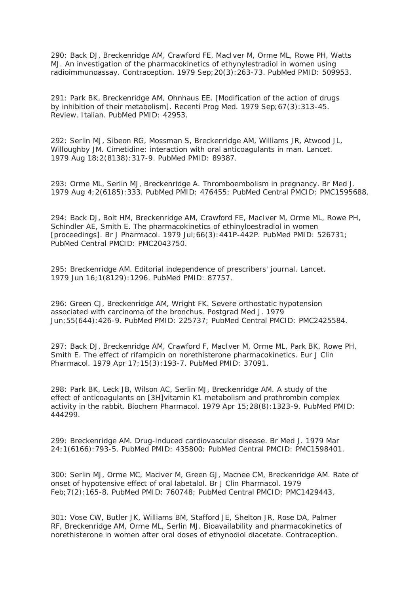290: Back DJ, Breckenridge AM, Crawford FE, MacIver M, Orme ML, Rowe PH, Watts MJ. An investigation of the pharmacokinetics of ethynylestradiol in women using radioimmunoassay. Contraception. 1979 Sep;20(3):263-73. PubMed PMID: 509953.

291: Park BK, Breckenridge AM, Ohnhaus EE. [Modification of the action of drugs by inhibition of their metabolism]. Recenti Prog Med. 1979 Sep;67(3):313-45. Review. Italian. PubMed PMID: 42953.

292: Serlin MJ, Sibeon RG, Mossman S, Breckenridge AM, Williams JR, Atwood JL, Willoughby JM. Cimetidine: interaction with oral anticoagulants in man. Lancet. 1979 Aug 18;2(8138):317-9. PubMed PMID: 89387.

293: Orme ML, Serlin MJ, Breckenridge A. Thromboembolism in pregnancy. Br Med J. 1979 Aug 4;2(6185):333. PubMed PMID: 476455; PubMed Central PMCID: PMC1595688.

294: Back DJ, Bolt HM, Breckenridge AM, Crawford FE, MacIver M, Orme ML, Rowe PH, Schindler AE, Smith E. The pharmacokinetics of ethinyloestradiol in women [proceedings]. Br J Pharmacol. 1979 Jul;66(3):441P-442P. PubMed PMID: 526731; PubMed Central PMCID: PMC2043750.

295: Breckenridge AM. Editorial independence of prescribers' journal. Lancet. 1979 Jun 16;1(8129):1296. PubMed PMID: 87757.

296: Green CJ, Breckenridge AM, Wright FK. Severe orthostatic hypotension associated with carcinoma of the bronchus. Postgrad Med J. 1979 Jun;55(644):426-9. PubMed PMID: 225737; PubMed Central PMCID: PMC2425584.

297: Back DJ, Breckenridge AM, Crawford F, MacIver M, Orme ML, Park BK, Rowe PH, Smith E. The effect of rifampicin on norethisterone pharmacokinetics. Eur J Clin Pharmacol. 1979 Apr 17;15(3):193-7. PubMed PMID: 37091.

298: Park BK, Leck JB, Wilson AC, Serlin MJ, Breckenridge AM. A study of the effect of anticoagulants on [3H]vitamin K1 metabolism and prothrombin complex activity in the rabbit. Biochem Pharmacol. 1979 Apr 15;28(8):1323-9. PubMed PMID: 444299.

299: Breckenridge AM. Drug-induced cardiovascular disease. Br Med J. 1979 Mar 24;1(6166):793-5. PubMed PMID: 435800; PubMed Central PMCID: PMC1598401.

300: Serlin MJ, Orme MC, Maciver M, Green GJ, Macnee CM, Breckenridge AM. Rate of onset of hypotensive effect of oral labetalol. Br J Clin Pharmacol. 1979 Feb;7(2):165-8. PubMed PMID: 760748; PubMed Central PMCID: PMC1429443.

301: Vose CW, Butler JK, Williams BM, Stafford JE, Shelton JR, Rose DA, Palmer RF, Breckenridge AM, Orme ML, Serlin MJ. Bioavailability and pharmacokinetics of norethisterone in women after oral doses of ethynodiol diacetate. Contraception.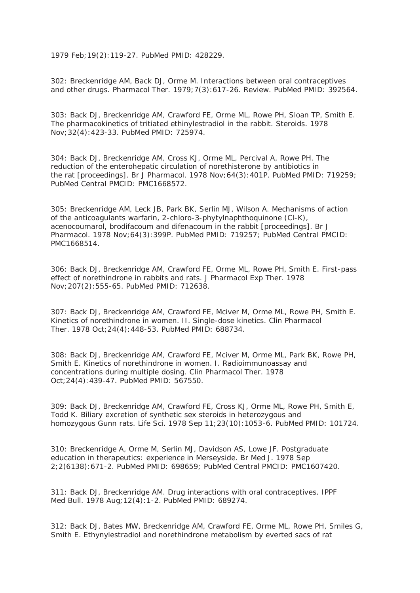1979 Feb;19(2):119-27. PubMed PMID: 428229.

302: Breckenridge AM, Back DJ, Orme M. Interactions between oral contraceptives and other drugs. Pharmacol Ther. 1979;7(3):617-26. Review. PubMed PMID: 392564.

303: Back DJ, Breckenridge AM, Crawford FE, Orme ML, Rowe PH, Sloan TP, Smith E. The pharmacokinetics of tritiated ethinylestradiol in the rabbit. Steroids. 1978 Nov;32(4):423-33. PubMed PMID: 725974.

304: Back DJ, Breckenridge AM, Cross KJ, Orme ML, Percival A, Rowe PH. The reduction of the enterohepatic circulation of norethisterone by antibiotics in the rat [proceedings]. Br J Pharmacol. 1978 Nov;64(3):401P. PubMed PMID: 719259; PubMed Central PMCID: PMC1668572.

305: Breckenridge AM, Leck JB, Park BK, Serlin MJ, Wilson A. Mechanisms of action of the anticoagulants warfarin, 2-chloro-3-phytylnaphthoquinone (Cl-K), acenocoumarol, brodifacoum and difenacoum in the rabbit [proceedings]. Br J Pharmacol. 1978 Nov;64(3):399P. PubMed PMID: 719257; PubMed Central PMCID: PMC1668514.

306: Back DJ, Breckenridge AM, Crawford FE, Orme ML, Rowe PH, Smith E. First-pass effect of norethindrone in rabbits and rats. J Pharmacol Exp Ther. 1978 Nov;207(2):555-65. PubMed PMID: 712638.

307: Back DJ, Breckenridge AM, Crawford FE, Mciver M, Orme ML, Rowe PH, Smith E. Kinetics of norethindrone in women. II. Single-dose kinetics. Clin Pharmacol Ther. 1978 Oct;24(4):448-53. PubMed PMID: 688734.

308: Back DJ, Breckenridge AM, Crawford FE, Mciver M, Orme ML, Park BK, Rowe PH, Smith E. Kinetics of norethindrone in women. I. Radioimmunoassay and concentrations during multiple dosing. Clin Pharmacol Ther. 1978 Oct;24(4):439-47. PubMed PMID: 567550.

309: Back DJ, Breckenridge AM, Crawford FE, Cross KJ, Orme ML, Rowe PH, Smith E, Todd K. Biliary excretion of synthetic sex steroids in heterozygous and homozygous Gunn rats. Life Sci. 1978 Sep 11;23(10):1053-6. PubMed PMID: 101724.

310: Breckenridge A, Orme M, Serlin MJ, Davidson AS, Lowe JF. Postgraduate education in therapeutics: experience in Merseyside. Br Med J. 1978 Sep 2;2(6138):671-2. PubMed PMID: 698659; PubMed Central PMCID: PMC1607420.

311: Back DJ, Breckenridge AM. Drug interactions with oral contraceptives. IPPF Med Bull. 1978 Aug;12(4):1-2. PubMed PMID: 689274.

312: Back DJ, Bates MW, Breckenridge AM, Crawford FE, Orme ML, Rowe PH, Smiles G, Smith E. Ethynylestradiol and norethindrone metabolism by everted sacs of rat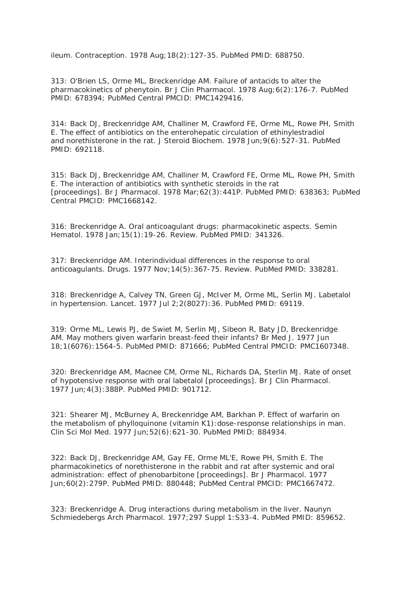ileum. Contraception. 1978 Aug;18(2):127-35. PubMed PMID: 688750.

313: O'Brien LS, Orme ML, Breckenridge AM. Failure of antacids to alter the pharmacokinetics of phenytoin. Br J Clin Pharmacol. 1978 Aug;6(2):176-7. PubMed PMID: 678394; PubMed Central PMCID: PMC1429416.

314: Back DJ, Breckenridge AM, Challiner M, Crawford FE, Orme ML, Rowe PH, Smith E. The effect of antibiotics on the enterohepatic circulation of ethinylestradiol and norethisterone in the rat. J Steroid Biochem. 1978 Jun;9(6):527-31. PubMed PMID: 692118.

315: Back DJ, Breckenridge AM, Challiner M, Crawford FE, Orme ML, Rowe PH, Smith E. The interaction of antibiotics with synthetic steroids in the rat [proceedings]. Br J Pharmacol. 1978 Mar;62(3):441P. PubMed PMID: 638363; PubMed Central PMCID: PMC1668142.

316: Breckenridge A. Oral anticoagulant drugs: pharmacokinetic aspects. Semin Hematol. 1978 Jan;15(1):19-26. Review. PubMed PMID: 341326.

317: Breckenridge AM. Interindividual differences in the response to oral anticoagulants. Drugs. 1977 Nov;14(5):367-75. Review. PubMed PMID: 338281.

318: Breckenridge A, Calvey TN, Green GJ, McIver M, Orme ML, Serlin MJ. Labetalol in hypertension. Lancet. 1977 Jul 2;2(8027):36. PubMed PMID: 69119.

319: Orme ML, Lewis PJ, de Swiet M, Serlin MJ, Sibeon R, Baty JD, Breckenridge AM. May mothers given warfarin breast-feed their infants? Br Med J. 1977 Jun 18;1(6076):1564-5. PubMed PMID: 871666; PubMed Central PMCID: PMC1607348.

320: Breckenridge AM, Macnee CM, Orme NL, Richards DA, Sterlin MJ. Rate of onset of hypotensive response with oral labetalol [proceedings]. Br J Clin Pharmacol. 1977 Jun;4(3):388P. PubMed PMID: 901712.

321: Shearer MJ, McBurney A, Breckenridge AM, Barkhan P. Effect of warfarin on the metabolism of phylloquinone (vitamin K1):dose-response relationships in man. Clin Sci Mol Med. 1977 Jun;52(6):621-30. PubMed PMID: 884934.

322: Back DJ, Breckenridge AM, Gay FE, Orme ML'E, Rowe PH, Smith E. The pharmacokinetics of norethisterone in the rabbit and rat after systemic and oral administration: effect of phenobarbitone [proceedings]. Br J Pharmacol. 1977 Jun;60(2):279P. PubMed PMID: 880448; PubMed Central PMCID: PMC1667472.

323: Breckenridge A. Drug interactions during metabolism in the liver. Naunyn Schmiedebergs Arch Pharmacol. 1977;297 Suppl 1:S33-4. PubMed PMID: 859652.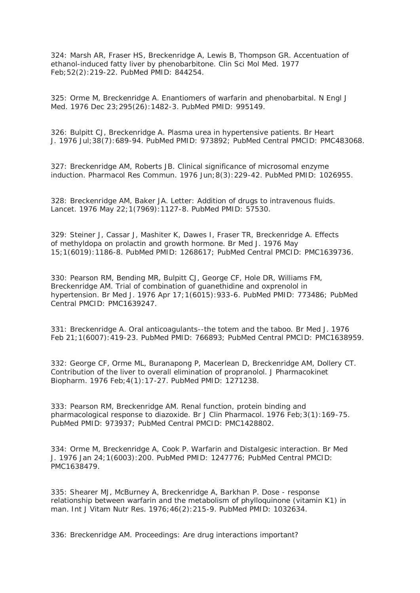324: Marsh AR, Fraser HS, Breckenridge A, Lewis B, Thompson GR. Accentuation of ethanol-induced fatty liver by phenobarbitone. Clin Sci Mol Med. 1977 Feb;52(2):219-22. PubMed PMID: 844254.

325: Orme M, Breckenridge A. Enantiomers of warfarin and phenobarbital. N Engl J Med. 1976 Dec 23;295(26):1482-3. PubMed PMID: 995149.

326: Bulpitt CJ, Breckenridge A. Plasma urea in hypertensive patients. Br Heart J. 1976 Jul;38(7):689-94. PubMed PMID: 973892; PubMed Central PMCID: PMC483068.

327: Breckenridge AM, Roberts JB. Clinical significance of microsomal enzyme induction. Pharmacol Res Commun. 1976 Jun;8(3):229-42. PubMed PMID: 1026955.

328: Breckenridge AM, Baker JA. Letter: Addition of drugs to intravenous fluids. Lancet. 1976 May 22;1(7969):1127-8. PubMed PMID: 57530.

329: Steiner J, Cassar J, Mashiter K, Dawes I, Fraser TR, Breckenridge A. Effects of methyldopa on prolactin and growth hormone. Br Med J. 1976 May 15;1(6019):1186-8. PubMed PMID: 1268617; PubMed Central PMCID: PMC1639736.

330: Pearson RM, Bending MR, Bulpitt CJ, George CF, Hole DR, Williams FM, Breckenridge AM. Trial of combination of guanethidine and oxprenolol in hypertension. Br Med J. 1976 Apr 17;1(6015):933-6. PubMed PMID: 773486; PubMed Central PMCID: PMC1639247.

331: Breckenridge A. Oral anticoagulants--the totem and the taboo. Br Med J. 1976 Feb 21;1(6007):419-23. PubMed PMID: 766893; PubMed Central PMCID: PMC1638959.

332: George CF, Orme ML, Buranapong P, Macerlean D, Breckenridge AM, Dollery CT. Contribution of the liver to overall elimination of propranolol. J Pharmacokinet Biopharm. 1976 Feb;4(1):17-27. PubMed PMID: 1271238.

333: Pearson RM, Breckenridge AM. Renal function, protein binding and pharmacological response to diazoxide. Br J Clin Pharmacol. 1976 Feb;3(1):169-75. PubMed PMID: 973937; PubMed Central PMCID: PMC1428802.

334: Orme M, Breckenridge A, Cook P. Warfarin and Distalgesic interaction. Br Med J. 1976 Jan 24;1(6003):200. PubMed PMID: 1247776; PubMed Central PMCID: PMC1638479.

335: Shearer MJ, McBurney A, Breckenridge A, Barkhan P. Dose - response relationship between warfarin and the metabolism of phylloquinone (vitamin K1) in man. Int J Vitam Nutr Res. 1976;46(2):215-9. PubMed PMID: 1032634.

336: Breckenridge AM. Proceedings: Are drug interactions important?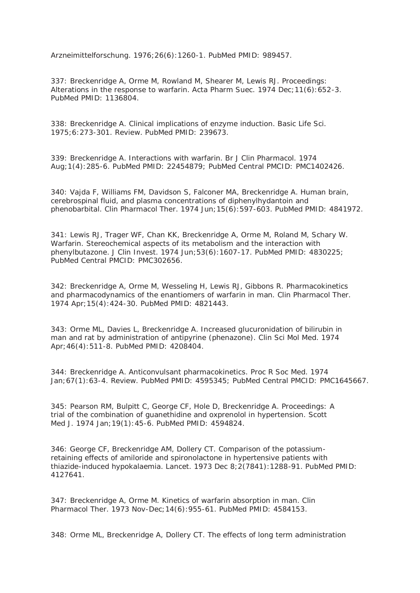Arzneimittelforschung. 1976;26(6):1260-1. PubMed PMID: 989457.

337: Breckenridge A, Orme M, Rowland M, Shearer M, Lewis RJ. Proceedings: Alterations in the response to warfarin. Acta Pharm Suec. 1974 Dec; 11(6): 652-3. PubMed PMID: 1136804.

338: Breckenridge A. Clinical implications of enzyme induction. Basic Life Sci. 1975;6:273-301. Review. PubMed PMID: 239673.

339: Breckenridge A. Interactions with warfarin. Br J Clin Pharmacol. 1974 Aug;1(4):285-6. PubMed PMID: 22454879; PubMed Central PMCID: PMC1402426.

340: Vajda F, Williams FM, Davidson S, Falconer MA, Breckenridge A. Human brain, cerebrospinal fluid, and plasma concentrations of diphenylhydantoin and phenobarbital. Clin Pharmacol Ther. 1974 Jun;15(6):597-603. PubMed PMID: 4841972.

341: Lewis RJ, Trager WF, Chan KK, Breckenridge A, Orme M, Roland M, Schary W. Warfarin. Stereochemical aspects of its metabolism and the interaction with phenylbutazone. J Clin Invest. 1974 Jun;53(6):1607-17. PubMed PMID: 4830225; PubMed Central PMCID: PMC302656.

342: Breckenridge A, Orme M, Wesseling H, Lewis RJ, Gibbons R. Pharmacokinetics and pharmacodynamics of the enantiomers of warfarin in man. Clin Pharmacol Ther. 1974 Apr;15(4):424-30. PubMed PMID: 4821443.

343: Orme ML, Davies L, Breckenridge A. Increased glucuronidation of bilirubin in man and rat by administration of antipyrine (phenazone). Clin Sci Mol Med. 1974 Apr;46(4):511-8. PubMed PMID: 4208404.

344: Breckenridge A. Anticonvulsant pharmacokinetics. Proc R Soc Med. 1974 Jan;67(1):63-4. Review. PubMed PMID: 4595345; PubMed Central PMCID: PMC1645667.

345: Pearson RM, Bulpitt C, George CF, Hole D, Breckenridge A. Proceedings: A trial of the combination of guanethidine and oxprenolol in hypertension. Scott Med J. 1974 Jan;19(1):45-6. PubMed PMID: 4594824.

346: George CF, Breckenridge AM, Dollery CT. Comparison of the potassiumretaining effects of amiloride and spironolactone in hypertensive patients with thiazide-induced hypokalaemia. Lancet. 1973 Dec 8;2(7841):1288-91. PubMed PMID: 4127641.

347: Breckenridge A, Orme M. Kinetics of warfarin absorption in man. Clin Pharmacol Ther. 1973 Nov-Dec;14(6):955-61. PubMed PMID: 4584153.

348: Orme ML, Breckenridge A, Dollery CT. The effects of long term administration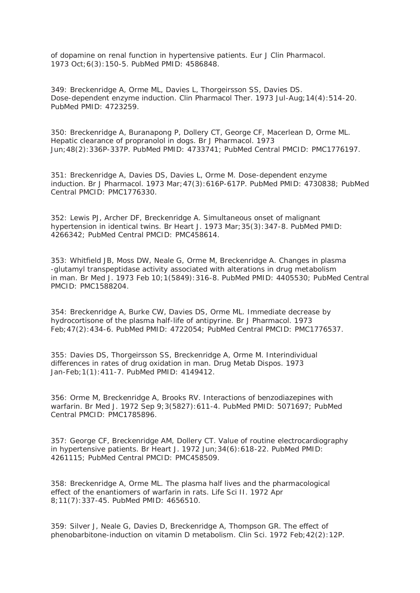of dopamine on renal function in hypertensive patients. Eur J Clin Pharmacol. 1973 Oct;6(3):150-5. PubMed PMID: 4586848.

349: Breckenridge A, Orme ML, Davies L, Thorgeirsson SS, Davies DS. Dose-dependent enzyme induction. Clin Pharmacol Ther. 1973 Jul-Aug;14(4):514-20. PubMed PMID: 4723259.

350: Breckenridge A, Buranapong P, Dollery CT, George CF, Macerlean D, Orme ML. Hepatic clearance of propranolol in dogs. Br J Pharmacol. 1973 Jun;48(2):336P-337P. PubMed PMID: 4733741; PubMed Central PMCID: PMC1776197.

351: Breckenridge A, Davies DS, Davies L, Orme M. Dose-dependent enzyme induction. Br J Pharmacol. 1973 Mar;47(3):616P-617P. PubMed PMID: 4730838; PubMed Central PMCID: PMC1776330.

352: Lewis PJ, Archer DF, Breckenridge A. Simultaneous onset of malignant hypertension in identical twins. Br Heart J. 1973 Mar;35(3):347-8. PubMed PMID: 4266342; PubMed Central PMCID: PMC458614.

353: Whitfield JB, Moss DW, Neale G, Orme M, Breckenridge A. Changes in plasma -glutamyl transpeptidase activity associated with alterations in drug metabolism in man. Br Med J. 1973 Feb 10;1(5849):316-8. PubMed PMID: 4405530; PubMed Central PMCID: PMC1588204.

354: Breckenridge A, Burke CW, Davies DS, Orme ML. Immediate decrease by hydrocortisone of the plasma half-life of antipyrine. Br J Pharmacol. 1973 Feb;47(2):434-6. PubMed PMID: 4722054; PubMed Central PMCID: PMC1776537.

355: Davies DS, Thorgeirsson SS, Breckenridge A, Orme M. Interindividual differences in rates of drug oxidation in man. Drug Metab Dispos. 1973 Jan-Feb;1(1):411-7. PubMed PMID: 4149412.

356: Orme M, Breckenridge A, Brooks RV. Interactions of benzodiazepines with warfarin. Br Med J. 1972 Sep 9;3(5827):611-4. PubMed PMID: 5071697; PubMed Central PMCID: PMC1785896.

357: George CF, Breckenridge AM, Dollery CT. Value of routine electrocardiography in hypertensive patients. Br Heart J. 1972 Jun;34(6):618-22. PubMed PMID: 4261115; PubMed Central PMCID: PMC458509.

358: Breckenridge A, Orme ML. The plasma half lives and the pharmacological effect of the enantiomers of warfarin in rats. Life Sci II. 1972 Apr 8;11(7):337-45. PubMed PMID: 4656510.

359: Silver J, Neale G, Davies D, Breckenridge A, Thompson GR. The effect of phenobarbitone-induction on vitamin D metabolism. Clin Sci. 1972 Feb;42(2):12P.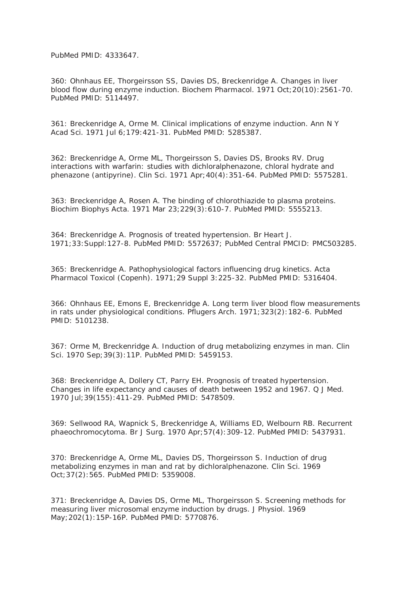PubMed PMID: 4333647.

360: Ohnhaus EE, Thorgeirsson SS, Davies DS, Breckenridge A. Changes in liver blood flow during enzyme induction. Biochem Pharmacol. 1971 Oct;20(10):2561-70. PubMed PMID: 5114497.

361: Breckenridge A, Orme M. Clinical implications of enzyme induction. Ann N Y Acad Sci. 1971 Jul 6;179:421-31. PubMed PMID: 5285387.

362: Breckenridge A, Orme ML, Thorgeirsson S, Davies DS, Brooks RV. Drug interactions with warfarin: studies with dichloralphenazone, chloral hydrate and phenazone (antipyrine). Clin Sci. 1971 Apr;40(4):351-64. PubMed PMID: 5575281.

363: Breckenridge A, Rosen A. The binding of chlorothiazide to plasma proteins. Biochim Biophys Acta. 1971 Mar 23;229(3):610-7. PubMed PMID: 5555213.

364: Breckenridge A. Prognosis of treated hypertension. Br Heart J. 1971;33:Suppl:127-8. PubMed PMID: 5572637; PubMed Central PMCID: PMC503285.

365: Breckenridge A. Pathophysiological factors influencing drug kinetics. Acta Pharmacol Toxicol (Copenh). 1971;29 Suppl 3:225-32. PubMed PMID: 5316404.

366: Ohnhaus EE, Emons E, Breckenridge A. Long term liver blood flow measurements in rats under physiological conditions. Pflugers Arch. 1971;323(2):182-6. PubMed PMID: 5101238.

367: Orme M, Breckenridge A. Induction of drug metabolizing enzymes in man. Clin Sci. 1970 Sep;39(3):11P. PubMed PMID: 5459153.

368: Breckenridge A, Dollery CT, Parry EH. Prognosis of treated hypertension. Changes in life expectancy and causes of death between 1952 and 1967. Q J Med. 1970 Jul;39(155):411-29. PubMed PMID: 5478509.

369: Sellwood RA, Wapnick S, Breckenridge A, Williams ED, Welbourn RB. Recurrent phaeochromocytoma. Br J Surg. 1970 Apr;57(4):309-12. PubMed PMID: 5437931.

370: Breckenridge A, Orme ML, Davies DS, Thorgeirsson S. Induction of drug metabolizing enzymes in man and rat by dichloralphenazone. Clin Sci. 1969 Oct;37(2):565. PubMed PMID: 5359008.

371: Breckenridge A, Davies DS, Orme ML, Thorgeirsson S. Screening methods for measuring liver microsomal enzyme induction by drugs. J Physiol. 1969 May;202(1):15P-16P. PubMed PMID: 5770876.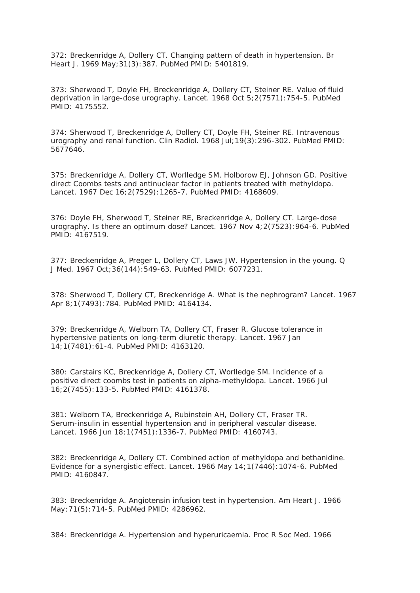372: Breckenridge A, Dollery CT. Changing pattern of death in hypertension. Br Heart J. 1969 May;31(3):387. PubMed PMID: 5401819.

373: Sherwood T, Doyle FH, Breckenridge A, Dollery CT, Steiner RE. Value of fluid deprivation in large-dose urography. Lancet. 1968 Oct 5;2(7571):754-5. PubMed PMID: 4175552.

374: Sherwood T, Breckenridge A, Dollery CT, Doyle FH, Steiner RE. Intravenous urography and renal function. Clin Radiol. 1968 Jul;19(3):296-302. PubMed PMID: 5677646.

375: Breckenridge A, Dollery CT, Worlledge SM, Holborow EJ, Johnson GD. Positive direct Coombs tests and antinuclear factor in patients treated with methyldopa. Lancet. 1967 Dec 16;2(7529):1265-7. PubMed PMID: 4168609.

376: Doyle FH, Sherwood T, Steiner RE, Breckenridge A, Dollery CT. Large-dose urography. Is there an optimum dose? Lancet. 1967 Nov 4;2(7523):964-6. PubMed PMID: 4167519.

377: Breckenridge A, Preger L, Dollery CT, Laws JW. Hypertension in the young. Q J Med. 1967 Oct;36(144):549-63. PubMed PMID: 6077231.

378: Sherwood T, Dollery CT, Breckenridge A. What is the nephrogram? Lancet. 1967 Apr 8;1(7493):784. PubMed PMID: 4164134.

379: Breckenridge A, Welborn TA, Dollery CT, Fraser R. Glucose tolerance in hypertensive patients on long-term diuretic therapy. Lancet. 1967 Jan 14;1(7481):61-4. PubMed PMID: 4163120.

380: Carstairs KC, Breckenridge A, Dollery CT, Worlledge SM. Incidence of a positive direct coombs test in patients on alpha-methyldopa. Lancet. 1966 Jul 16;2(7455):133-5. PubMed PMID: 4161378.

381: Welborn TA, Breckenridge A, Rubinstein AH, Dollery CT, Fraser TR. Serum-insulin in essential hypertension and in peripheral vascular disease. Lancet. 1966 Jun 18;1(7451):1336-7. PubMed PMID: 4160743.

382: Breckenridge A, Dollery CT. Combined action of methyldopa and bethanidine. Evidence for a synergistic effect. Lancet. 1966 May 14;1(7446):1074-6. PubMed PMID: 4160847.

383: Breckenridge A. Angiotensin infusion test in hypertension. Am Heart J. 1966 May;71(5):714-5. PubMed PMID: 4286962.

384: Breckenridge A. Hypertension and hyperuricaemia. Proc R Soc Med. 1966